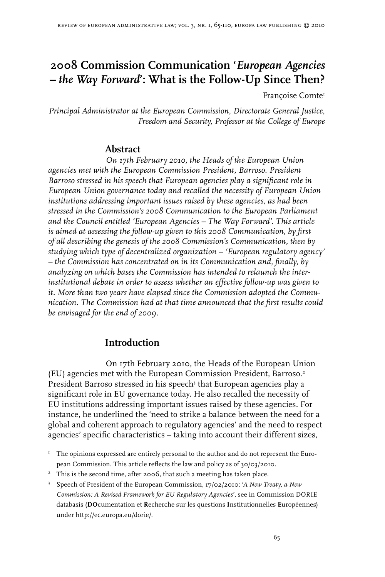# **2008 Commission Communication '***European Agencies – the Way Forward***': What is the Follow-Up Since Then?**

Françoise Comte

*Principal Administrator at the European Commission, Directorate General Justice, Freedom and Security, Professor at the College of Europe*

## **Abstract**

*On 17th February 2010, the Heads of the European Union agencies met with the European Commission President, Barroso. President Barroso stressed in his speech that European agencies play a significant role in European Union governance today and recalled the necessity of European Union institutions addressing important issues raised by these agencies, as had been stressed in the Commission's 2008 Communication to the European Parliament and the Council entitled 'European Agencies – The Way Forward'. This article is aimed at assessing the follow-up given to this 2008 Communication, by first of all describing the genesis of the 2008 Commission's Communication, then by studying which type of decentralized organization – 'European regulatory agency' – the Commission has concentrated on in its Communication and, finally, by analyzing on which bases the Commission has intended to relaunch the interinstitutional debate in order to assess whether an effective follow-up was given to it. More than two years have elapsed since the Commission adopted the Communication. The Commission had at that time announced that the first results could be envisaged for the end of 2009.*

## **Introduction**

On 17th February 2010, the Heads of the European Union (EU) agencies met with the European Commission President, Barroso. President Barroso stressed in his speech<sup>3</sup> that European agencies play a significant role in EU governance today. He also recalled the necessity of EU institutions addressing important issues raised by these agencies. For instance, he underlined the 'need to strike a balance between the need for a global and coherent approach to regulatory agencies' and the need to respect agencies' specific characteristics – taking into account their different sizes,

I The opinions expressed are entirely personal to the author and do not represent the European Commission. This article reflects the law and policy as of 30/03/2010.

<sup>&</sup>lt;sup>2</sup> This is the second time, after 2006, that such a meeting has taken place.

 Speech of President of the European Commission, 17/02/2010: '*A New Treaty, a New Commission: A Revised Framework for EU Regulatory Agencies*', see in Commission DORIE databasis (**DO**cumentation et **R**echerche sur les questions **I**nstitutionnelles **E**uropéennes) under http://ec.europa.eu/dorie/.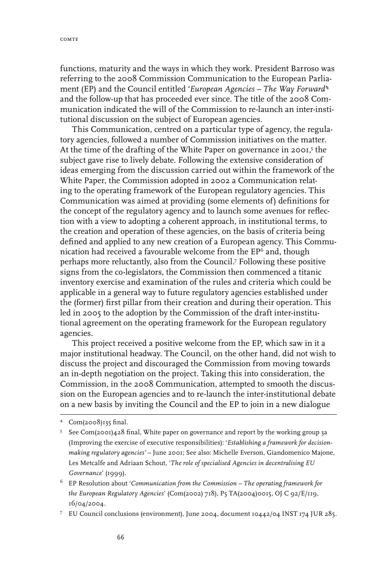functions, maturity and the ways in which they work. President Barroso was referring to the 2008 Commission Communication to the European Parliament (EP) and the Council entitled '*European Agencies – The Way Forward*' and the follow-up that has proceeded ever since. The title of the 2008 Communication indicated the will of the Commission to re-launch an inter-institutional discussion on the subject of European agencies.

This Communication, centred on a particular type of agency, the regulatory agencies, followed a number of Commission initiatives on the matter. At the time of the drafting of the White Paper on governance in 2001,<sup>5</sup> the subject gave rise to lively debate. Following the extensive consideration of ideas emerging from the discussion carried out within the framework of the White Paper, the Commission adopted in 2002 a Communication relating to the operating framework of the European regulatory agencies. This Communication was aimed at providing (some elements of) definitions for the concept of the regulatory agency and to launch some avenues for reflection with a view to adopting a coherent approach, in institutional terms, to the creation and operation of these agencies, on the basis of criteria being defined and applied to any new creation of a European agency. This Communication had received a favourable welcome from the  $EP<sup>6</sup>$  and, though perhaps more reluctantly, also from the Council.<sup>7</sup> Following these positive signs from the co-legislators, the Commission then commenced a titanic inventory exercise and examination of the rules and criteria which could be applicable in a general way to future regulatory agencies established under the (former) first pillar from their creation and during their operation. This led in 2005 to the adoption by the Commission of the draft inter-institutional agreement on the operating framework for the European regulatory agencies.

This project received a positive welcome from the EP, which saw in it a major institutional headway. The Council, on the other hand, did not wish to discuss the project and discouraged the Commission from moving towards an in-depth negotiation on the project. Taking this into consideration, the Commission, in the 2008 Communication, attempted to smooth the discussion on the European agencies and to re-launch the inter-institutional debate on a new basis by inviting the Council and the EP to join in a new dialogue

EU Council conclusions (environment), June 2004, document 10442/04 INST 174 JUR 285.

 Com(2008)135 final.

 $5$  See Com(2001)428 final, White paper on governance and report by the working group 3a (Improving the exercise of executive responsibilities): '*Establishing a framework for decisionmaking regulatory agencies'* – June 2001; See also: Michelle Everson, Giandomenico Majone, Les Metcalfe and Adriaan Schout, '*The role of specialised Agencies in decentralising EU Governance*' (1999).

EP Resolution about '*Communication from the Commission – The operating framework for the European Regulatory Agencies*' (Com(2002) 718), P5 TA(2004)0015, OJ C 92/E/119, 16/04/2004.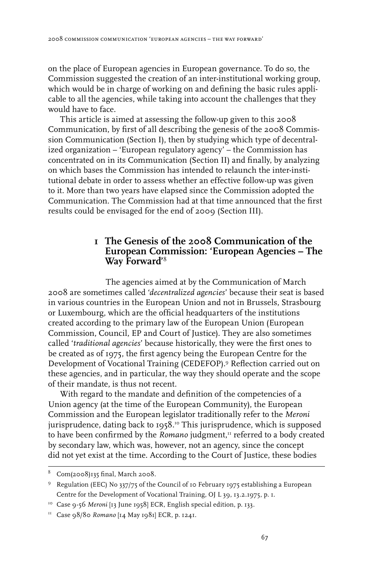on the place of European agencies in European governance. To do so, the Commission suggested the creation of an inter-institutional working group, which would be in charge of working on and defining the basic rules applicable to all the agencies, while taking into account the challenges that they would have to face.

This article is aimed at assessing the follow-up given to this 2008 Communication, by first of all describing the genesis of the 2008 Commission Communication (Section I), then by studying which type of decentralized organization – 'European regulatory agency' – the Commission has concentrated on in its Communication (Section II) and finally, by analyzing on which bases the Commission has intended to relaunch the inter-institutional debate in order to assess whether an effective follow-up was given to it. More than two years have elapsed since the Commission adopted the Communication. The Commission had at that time announced that the first results could be envisaged for the end of 2009 (Section III).

## **1 The Genesis of the 2008 Communication of the European Commission: 'European Agencies – The Way Forward'**

The agencies aimed at by the Communication of March 2008 are sometimes called '*decentralized agencies*' because their seat is based in various countries in the European Union and not in Brussels, Strasbourg or Luxembourg, which are the official headquarters of the institutions created according to the primary law of the European Union (European Commission, Council, EP and Court of Justice). They are also sometimes called '*traditional agencies*' because historically, they were the first ones to be created as of 1975, the first agency being the European Centre for the Development of Vocational Training (CEDEFOP).<sup>9</sup> Reflection carried out on these agencies, and in particular, the way they should operate and the scope of their mandate, is thus not recent.

With regard to the mandate and definition of the competencies of a Union agency (at the time of the European Community), the European Commission and the European legislator traditionally refer to the *Meroni* jurisprudence, dating back to 1958.10 This jurisprudence, which is supposed to have been confirmed by the *Romano* judgment,<sup>11</sup> referred to a body created by secondary law, which was, however, not an agency, since the concept did not yet exist at the time. According to the Court of Justice, these bodies

 $8$  Com(2008)135 final, March 2008.

<sup>&</sup>lt;sup>9</sup> Regulation (EEC) No 337/75 of the Council of 10 February 1975 establishing a European Centre for the Development of Vocational Training, OJ L 39, 13.2.1975, p. 1.

<sup>&</sup>lt;sup>10</sup> Case 9-56 Meroni [13 June 1958] ECR, English special edition, p. 133.

<sup>11</sup> Case 98/80 *Romano* [14 May 1981] ECR, p. 1241.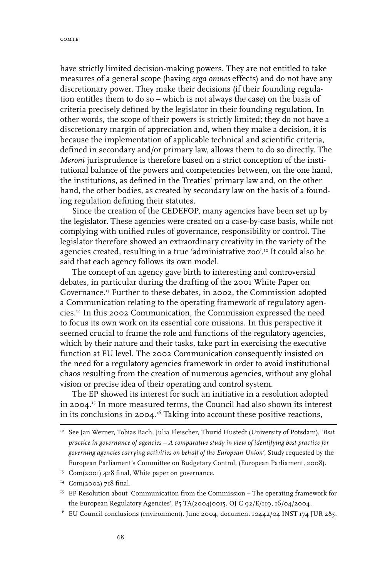have strictly limited decision-making powers. They are not entitled to take measures of a general scope (having *erga omnes* effects) and do not have any discretionary power. They make their decisions (if their founding regulation entitles them to do so – which is not always the case) on the basis of criteria precisely defined by the legislator in their founding regulation. In other words, the scope of their powers is strictly limited; they do not have a discretionary margin of appreciation and, when they make a decision, it is because the implementation of applicable technical and scientific criteria, defined in secondary and/or primary law, allows them to do so directly. The *Meroni* jurisprudence is therefore based on a strict conception of the institutional balance of the powers and competencies between, on the one hand, the institutions, as defined in the Treaties' primary law and, on the other hand, the other bodies, as created by secondary law on the basis of a founding regulation defining their statutes.

Since the creation of the CEDEFOP, many agencies have been set up by the legislator. These agencies were created on a case-by-case basis, while not complying with unified rules of governance, responsibility or control. The legislator therefore showed an extraordinary creativity in the variety of the agencies created, resulting in a true 'administrative zoo'.12 It could also be said that each agency follows its own model.

The concept of an agency gave birth to interesting and controversial debates, in particular during the drafting of the 2001 White Paper on Governance.13 Further to these debates, in 2002, the Commission adopted a Communication relating to the operating framework of regulatory agencies.14 In this 2002 Communication, the Commission expressed the need to focus its own work on its essential core missions. In this perspective it seemed crucial to frame the role and functions of the regulatory agencies, which by their nature and their tasks, take part in exercising the executive function at EU level. The 2002 Communication consequently insisted on the need for a regulatory agencies framework in order to avoid institutional chaos resulting from the creation of numerous agencies, without any global vision or precise idea of their operating and control system.

The EP showed its interest for such an initiative in a resolution adopted in 2004. 15 In more measured terms, the Council had also shown its interest in its conclusions in 2004. 16 Taking into account these positive reactions,

 $16$  EU Council conclusions (environment), June 2004, document 10442/04 INST 174 JUR 285.

<sup>12</sup> See Jan Werner, Tobias Bach, Julia Fleischer, Thurid Hustedt (University of Potsdam), '*Best practice in governance of agencies – A comparative study in view of identifying best practice for governing agencies carrying activities on behalf of the European Union'*, Study requested by the European Parliament's Committee on Budgetary Control, (European Parliament, 2008).

<sup>&</sup>lt;sup>13</sup> Com(2001) 428 final, White paper on governance.

<sup>14</sup> Com(2002) 718 final.

<sup>&</sup>lt;sup>15</sup> EP Resolution about 'Communication from the Commission – The operating framework for the European Regulatory Agencies', P5 TA(2004)0015, OJ C 92/E/119, 16/04/2004.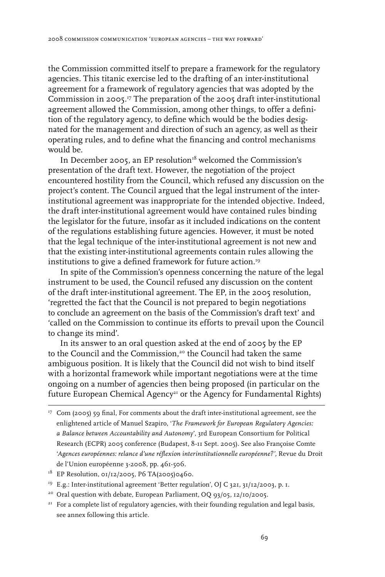the Commission committed itself to prepare a framework for the regulatory agencies. This titanic exercise led to the drafting of an inter-institutional agreement for a framework of regulatory agencies that was adopted by the Commission in 2005. 17 The preparation of the 2005 draft inter-institutional agreement allowed the Commission, among other things, to offer a definition of the regulatory agency, to define which would be the bodies designated for the management and direction of such an agency, as well as their operating rules, and to define what the financing and control mechanisms would be.

In December 2005, an EP resolution $1^8$  welcomed the Commission's presentation of the draft text. However, the negotiation of the project encountered hostility from the Council, which refused any discussion on the project's content. The Council argued that the legal instrument of the interinstitutional agreement was inappropriate for the intended objective. Indeed, the draft inter-institutional agreement would have contained rules binding the legislator for the future, insofar as it included indications on the content of the regulations establishing future agencies. However, it must be noted that the legal technique of the inter-institutional agreement is not new and that the existing inter-institutional agreements contain rules allowing the institutions to give a defined framework for future action.<sup>19</sup>

In spite of the Commission's openness concerning the nature of the legal instrument to be used, the Council refused any discussion on the content of the draft inter-institutional agreement. The EP, in the 2005 resolution, 'regretted the fact that the Council is not prepared to begin negotiations to conclude an agreement on the basis of the Commission's draft text' and 'called on the Commission to continue its efforts to prevail upon the Council to change its mind'.

In its answer to an oral question asked at the end of 2005 by the EP to the Council and the Commission,<sup>20</sup> the Council had taken the same ambiguous position. It is likely that the Council did not wish to bind itself with a horizontal framework while important negotiations were at the time ongoing on a number of agencies then being proposed (in particular on the future European Chemical Agency<sup>21</sup> or the Agency for Fundamental Rights)

- <sup>19</sup> E.g.: Inter-institutional agreement 'Better regulation', OJ C 321, 31/12/2003, p. 1.
- <sup>20</sup> Oral question with debate, European Parliament, OQ 93/05, 12/10/2005.
- <sup>21</sup> For a complete list of regulatory agencies, with their founding regulation and legal basis, see annex following this article.

<sup>&</sup>lt;sup>17</sup> Com (2005) 59 final, For comments about the draft inter-institutional agreement, see the enlightened article of Manuel Szapiro, '*The Framework for European Regulatory Agencies: a Balance between Accountability and Autonomy*', 3rd European Consortium for Political Research (ECPR) 2005 conference (Budapest, 8-11 Sept. 2005). See also Françoise Comte '*Agences européennes: relance d'une réflexion interinstitutionnelle européenne?'*, Revue du Droit de l'Union européenne 3-2008, pp. 461-506.

<sup>&</sup>lt;sup>18</sup> EP Resolution, 01/12/2005, P6 TA(2005)0460.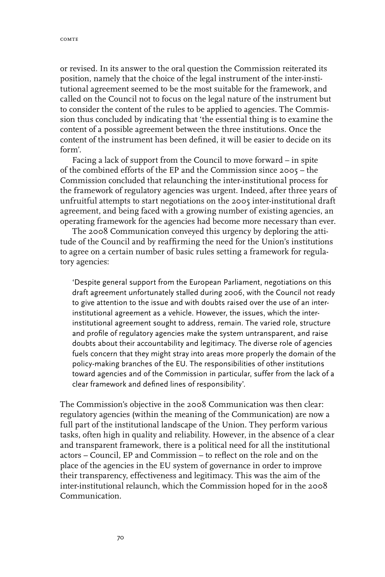or revised. In its answer to the oral question the Commission reiterated its position, namely that the choice of the legal instrument of the inter-institutional agreement seemed to be the most suitable for the framework, and called on the Council not to focus on the legal nature of the instrument but to consider the content of the rules to be applied to agencies. The Commission thus concluded by indicating that 'the essential thing is to examine the content of a possible agreement between the three institutions. Once the content of the instrument has been defined, it will be easier to decide on its form'.

Facing a lack of support from the Council to move forward – in spite of the combined efforts of the EP and the Commission since 2005 – the Commission concluded that relaunching the inter-institutional process for the framework of regulatory agencies was urgent. Indeed, after three years of unfruitful attempts to start negotiations on the 2005 inter-institutional draft agreement, and being faced with a growing number of existing agencies, an operating framework for the agencies had become more necessary than ever.

The 2008 Communication conveyed this urgency by deploring the attitude of the Council and by reaffirming the need for the Union's institutions to agree on a certain number of basic rules setting a framework for regulatory agencies:

'Despite general support from the European Parliament, negotiations on this draft agreement unfortunately stalled during 2006, with the Council not ready to give attention to the issue and with doubts raised over the use of an interinstitutional agreement as a vehicle. However, the issues, which the interinstitutional agreement sought to address, remain. The varied role, structure and profile of regulatory agencies make the system untransparent, and raise doubts about their accountability and legitimacy. The diverse role of agencies fuels concern that they might stray into areas more properly the domain of the policy-making branches of the EU. The responsibilities of other institutions toward agencies and of the Commission in particular, suffer from the lack of a clear framework and defined lines of responsibility'.

The Commission's objective in the 2008 Communication was then clear: regulatory agencies (within the meaning of the Communication) are now a full part of the institutional landscape of the Union. They perform various tasks, often high in quality and reliability. However, in the absence of a clear and transparent framework, there is a political need for all the institutional actors – Council, EP and Commission – to reflect on the role and on the place of the agencies in the EU system of governance in order to improve their transparency, effectiveness and legitimacy. This was the aim of the inter-institutional relaunch, which the Commission hoped for in the 2008 Communication.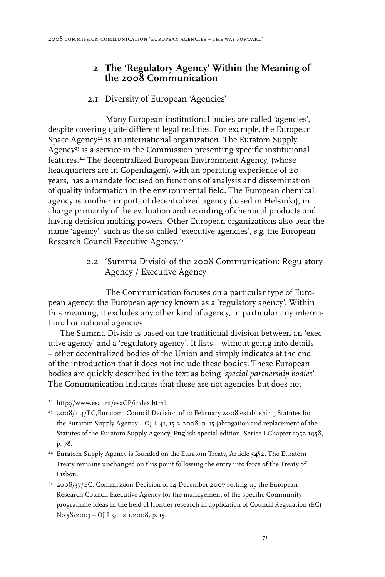## **2 The 'Regulatory Agency' Within the Meaning of the 2008 Communication**

### 2.1 Diversity of European 'Agencies'

Many European institutional bodies are called 'agencies', despite covering quite different legal realities. For example, the European Space Agency<sup>22</sup> is an international organization. The Euratom Supply Agency<sup>23</sup> is a service in the Commission presenting specific institutional features.24 The decentralized European Environment Agency, (whose headquarters are in Copenhagen), with an operating experience of 20 years, has a mandate focused on functions of analysis and dissemination of quality information in the environmental field. The European chemical agency is another important decentralized agency (based in Helsinki), in charge primarily of the evaluation and recording of chemical products and having decision-making powers. Other European organizations also bear the name 'agency', such as the so-called 'executive agencies', *e.g*. the European Research Council Executive Agency.<sup>25</sup>

> 2.2 'Summa Divisio' of the 2008 Communication: Regulatory Agency / Executive Agency

The Communication focuses on a particular type of European agency: the European agency known as a 'regulatory agency'. Within this meaning, it excludes any other kind of agency, in particular any international or national agencies.

The Summa Divisio is based on the traditional division between an 'executive agency' and a 'regulatory agency'. It lists – without going into details – other decentralized bodies of the Union and simply indicates at the end of the introduction that it does not include these bodies. These European bodies are quickly described in the text as being '*special partnership bodies*'. The Communication indicates that these are not agencies but does not

- <sup>24</sup> Euratom Supply Agency is founded on the Euratom Treaty, Article 54§2. The Euratom Treaty remains unchanged on this point following the entry into force of the Treaty of Lisbon.
- $^{25}$  2008/37/EC: Commission Decision of 14 December 2007 setting up the European Research Council Executive Agency for the management of the specific Community programme Ideas in the field of frontier research in application of Council Regulation (EC) No 58/2003 – OJ L 9, 12.1.2008, p. 15.

<sup>22</sup> http://www.esa.int/esaCP/index.html.

 $^{23}$  2008/114/EC, Euratom: Council Decision of 12 February 2008 establishing Statutes for the Euratom Supply Agency – OJ L 41, 15.2.2008, p. 15 (abrogation and replacement of the Statutes of the Euratom Supply Agency, English special edition: Series I Chapter 1952-1958, p. 78*.*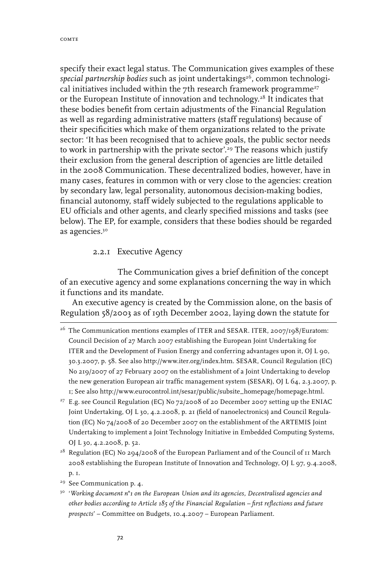specify their exact legal status. The Communication gives examples of these special partnership bodies such as joint undertakings<sup>26</sup>, common technological initiatives included within the 7th research framework programme<sup>27</sup> or the European Institute of innovation and technology.28 It indicates that these bodies benefit from certain adjustments of the Financial Regulation as well as regarding administrative matters (staff regulations) because of their specificities which make of them organizations related to the private sector: 'It has been recognised that to achieve goals, the public sector needs to work in partnership with the private sector'.<sup>29</sup> The reasons which justify their exclusion from the general description of agencies are little detailed in the 2008 Communication. These decentralized bodies, however, have in many cases, features in common with or very close to the agencies: creation by secondary law, legal personality, autonomous decision-making bodies, financial autonomy, staff widely subjected to the regulations applicable to EU officials and other agents, and clearly specified missions and tasks (see below). The EP, for example, considers that these bodies should be regarded as agencies.<sup>30</sup>

2.2.1 Executive Agency

The Communication gives a brief definition of the concept of an executive agency and some explanations concerning the way in which it functions and its mandate.

An executive agency is created by the Commission alone, on the basis of Regulation 58/2003 as of 19th December 2002, laying down the statute for

<sup>28</sup> Regulation (EC) No 294/2008 of the European Parliament and of the Council of 11 March 2008 establishing the European Institute of Innovation and Technology, OJ L 97, 9.4.2008, p. 1.

<sup>&</sup>lt;sup>26</sup> The Communication mentions examples of ITER and SESAR. ITER, 2007/198/Euratom: Council Decision of 27 March 2007 establishing the European Joint Undertaking for ITER and the Development of Fusion Energy and conferring advantages upon it, OJ L 90, 30.3.2007, p. 58. See also http://www.iter.org/index.htm. SESAR, Council Regulation (EC) No 219/2007 of 27 February 2007 on the establishment of a Joint Undertaking to develop the new generation European air traffic management system (SESAR), OJ L 64, 2.3.2007, p. 1; See also http://www.eurocontrol.int/sesar/public/subsite\_homepage/homepage.html.

<sup>&</sup>lt;sup>27</sup> E.g. see Council Regulation (EC) No 72/2008 of 20 December 2007 setting up the ENIAC Joint Undertaking, OJ L 30, 4.2.2008, p. 21 (field of nanoelectronics) and Council Regulation (EC) No 74/2008 of 20 December 2007 on the establishment of the ARTEMIS Joint Undertaking to implement a Joint Technology Initiative in Embedded Computing Systems, OJ L 30, 4.2.2008, p. 52.

<sup>&</sup>lt;sup>29</sup> See Communication p. 4.

<sup>30 &#</sup>x27;*Working document n°1 on the European Union and its agencies, Decentralised agencies and other bodies according to Article 185 of the Financial Regulation – first reflections and future prospects*' – Committee on Budgets, 10.4.2007 – European Parliament.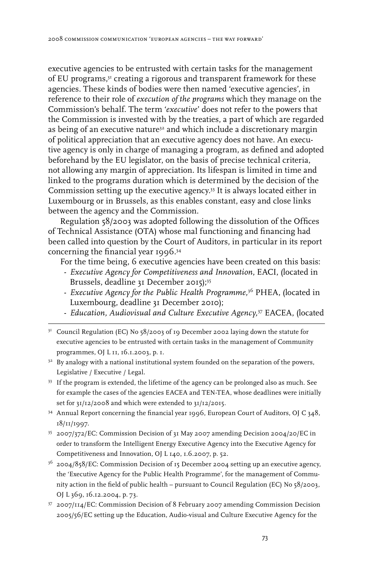executive agencies to be entrusted with certain tasks for the management of EU programs,<sup>31</sup> creating a rigorous and transparent framework for these agencies. These kinds of bodies were then named 'executive agencies', in reference to their role of *execution of the programs* which they manage on the Commission's behalf. The term '*executive*' does not refer to the powers that the Commission is invested with by the treaties, a part of which are regarded as being of an executive nature<sup>32</sup> and which include a discretionary margin of political appreciation that an executive agency does not have. An executive agency is only in charge of managing a program, as defined and adopted beforehand by the EU legislator, on the basis of precise technical criteria, not allowing any margin of appreciation. Its lifespan is limited in time and linked to the programs duration which is determined by the decision of the Commission setting up the executive agency.33 It is always located either in Luxembourg or in Brussels, as this enables constant, easy and close links between the agency and the Commission.

Regulation 58/2003 was adopted following the dissolution of the Offices of Technical Assistance (OTA) whose mal functioning and financing had been called into question by the Court of Auditors, in particular in its report concerning the financial year 1996.34

For the time being, 6 executive agencies have been created on this basis:

- *Executive Agency for Competitiveness and Innovation*, EACI, (located in Brussels, deadline 31 December 2015);<sup>35</sup>
- *Executive Agency for the Public Health Programme,*<sup>36</sup> PHEA, (located in Luxembourg, deadline 31 December 2010);
- *Education, Audiovisual and Culture Executive Agency,*<sup>37</sup> EACEA, (located
- <sup>31</sup> Council Regulation (EC) No 58/2003 of 19 December 2002 laying down the statute for executive agencies to be entrusted with certain tasks in the management of Community programmes, OJ L 11, 16.1.2003, p. 1.
- <sup>32</sup> By analogy with a national institutional system founded on the separation of the powers, Legislative / Executive / Legal.
- <sup>33</sup> If the program is extended, the lifetime of the agency can be prolonged also as much. See for example the cases of the agencies EACEA and TEN-TEA, whose deadlines were initially set for 31/12/2008 and which were extended to 31/12/2015.
- <sup>34</sup> Annual Report concerning the financial year 1996, European Court of Auditors, OJ C 348, 18/11/1997.
- 35 2007/372/EC: Commission Decision of 31 May 2007 amending Decision 2004/20/EC in order to transform the Intelligent Energy Executive Agency into the Executive Agency for Competitiveness and Innovation, OJ L 140, 1.6.2007, p. 52.
- $36$  2004/858/EC: Commission Decision of 15 December 2004 setting up an executive agency, the 'Executive Agency for the Public Health Programme', for the management of Community action in the field of public health – pursuant to Council Regulation (EC) No 58/2003, OJ L 369, 16.12.2004, p. 73.
- 37 2007/114/EC: Commission Decision of 8 February 2007 amending Commission Decision 2005/56/EC setting up the Education, Audio-visual and Culture Executive Agency for the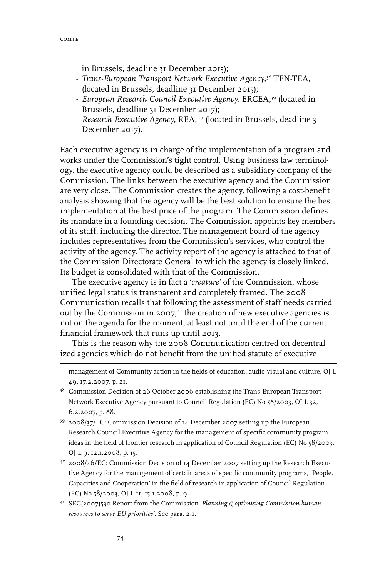in Brussels, deadline 31 December 2015);

- *Trans-European Transport Network Executive Agency,*<sup>38</sup> TEN-TEA, (located in Brussels, deadline 31 December 2015);
- *European Research Council Executive Agency,* ERCEA,39 (located in Brussels, deadline 31 December 2017);
- *Research Executive Agency*, REA,40 (located in Brussels, deadline 31 December 2017).

Each executive agency is in charge of the implementation of a program and works under the Commission's tight control. Using business law terminology, the executive agency could be described as a subsidiary company of the Commission. The links between the executive agency and the Commission are very close. The Commission creates the agency, following a cost-benefit analysis showing that the agency will be the best solution to ensure the best implementation at the best price of the program. The Commission defines its mandate in a founding decision. The Commission appoints key-members of its staff, including the director. The management board of the agency includes representatives from the Commission's services, who control the activity of the agency. The activity report of the agency is attached to that of the Commission Directorate General to which the agency is closely linked. Its budget is consolidated with that of the Commission.

The executive agency is in fact a '*creature'* of the Commission, whose unified legal status is transparent and completely framed. The 2008 Communication recalls that following the assessment of staff needs carried out by the Commission in 2007,41 the creation of new executive agencies is not on the agenda for the moment, at least not until the end of the current financial framework that runs up until 2013.

This is the reason why the 2008 Communication centred on decentralized agencies which do not benefit from the unified statute of executive

management of Community action in the fields of education, audio-visual and culture, OJ L 49, 17.2.2007, p. 21.

- <sup>38</sup> Commission Decision of 26 October 2006 establishing the Trans-European Transport Network Executive Agency pursuant to Council Regulation (EC) No 58/2003, OJ L 32, 6.2.2007, p. 88.
- 39 2008/37/EC: Commission Decision of 14 December 2007 setting up the European Research Council Executive Agency for the management of specific community program ideas in the field of frontier research in application of Council Regulation (EC) No 58/2003, OJ L 9, 12.1.2008, p. 15.
- $40^{\circ}$  2008/46/EC: Commission Decision of 14 December 2007 setting up the Research Executive Agency for the management of certain areas of specific community programs, 'People, Capacities and Cooperation' in the field of research in application of Council Regulation (EC) No 58/2003, OJ L 11, 15.1.2008, p. 9.
- 41 SEC(2007)530 Report from the Commission '*Planning & optimising Commission human resources to serve EU priorities'*. See para. 2.1.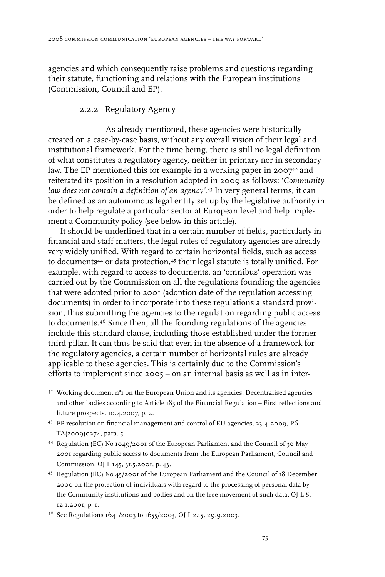agencies and which consequently raise problems and questions regarding their statute, functioning and relations with the European institutions (Commission, Council and EP).

#### 2.2.2 Regulatory Agency

As already mentioned, these agencies were historically created on a case-by-case basis, without any overall vision of their legal and institutional framework. For the time being, there is still no legal definition of what constitutes a regulatory agency, neither in primary nor in secondary law. The EP mentioned this for example in a working paper in 2007 $^{\scriptscriptstyle 4}$  and reiterated its position in a resolution adopted in 2009 as follows: '*Community law does not contain a definition of an agency'.*<sup>43</sup> In very general terms, it can be defined as an autonomous legal entity set up by the legislative authority in order to help regulate a particular sector at European level and help implement a Community policy (see below in this article).

It should be underlined that in a certain number of fields, particularly in financial and staff matters, the legal rules of regulatory agencies are already very widely unified. With regard to certain horizontal fields, such as access to documents<sup>44</sup> or data protection,<sup>45</sup> their legal statute is totally unified. For example, with regard to access to documents, an 'omnibus' operation was carried out by the Commission on all the regulations founding the agencies that were adopted prior to 2001 (adoption date of the regulation accessing documents) in order to incorporate into these regulations a standard provision, thus submitting the agencies to the regulation regarding public access to documents.46 Since then, all the founding regulations of the agencies include this standard clause, including those established under the former third pillar. It can thus be said that even in the absence of a framework for the regulatory agencies, a certain number of horizontal rules are already applicable to these agencies. This is certainly due to the Commission's efforts to implement since 2005 – on an internal basis as well as in inter-

46 See Regulations 1641/2003 to 1655/2003, OJ L 245, 29.9.2003.

 $42$  Working document n°1 on the European Union and its agencies, Decentralised agencies and other bodies according to Article 185 of the Financial Regulation – First reflections and future prospects, 10.4.2007, p. 2.

<sup>43</sup> EP resolution on financial management and control of EU agencies*,* 23.4.2009, P6- TA(2009)0274, para. 5.

<sup>44</sup> Regulation (EC) No 1049/2001 of the European Parliament and the Council of 30 May 2001 regarding public access to documents from the European Parliament, Council and Commission, OJ L 145, 31.5.2001, p. 43.

<sup>45</sup> Regulation (EC) No 45/2001 of the European Parliament and the Council of 18 December 2000 on the protection of individuals with regard to the processing of personal data by the Community institutions and bodies and on the free movement of such data, OJ L 8, 12.1.2001, p. 1.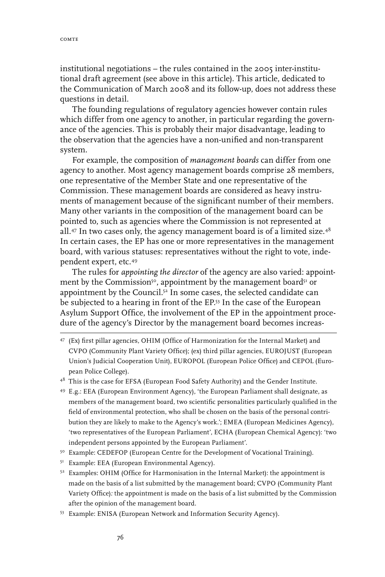comte

institutional negotiations – the rules contained in the 2005 inter-institutional draft agreement (see above in this article). This article, dedicated to the Communication of March 2008 and its follow-up, does not address these questions in detail.

The founding regulations of regulatory agencies however contain rules which differ from one agency to another, in particular regarding the governance of the agencies. This is probably their major disadvantage, leading to the observation that the agencies have a non-unified and non-transparent system.

For example, the composition of *management boards* can differ from one agency to another. Most agency management boards comprise 28 members, one representative of the Member State and one representative of the Commission. These management boards are considered as heavy instruments of management because of the significant number of their members. Many other variants in the composition of the management board can be pointed to, such as agencies where the Commission is not represented at all.47 In two cases only, the agency management board is of a limited size.48 In certain cases, the EP has one or more representatives in the management board, with various statuses: representatives without the right to vote, independent expert, etc.49

The rules for *appointing the director* of the agency are also varied: appointment by the Commission<sup>50</sup>, appointment by the management board<sup>51</sup> or appointment by the Council.52 In some cases, the selected candidate can be subjected to a hearing in front of the EP.53 In the case of the European Asylum Support Office, the involvement of the EP in the appointment procedure of the agency's Director by the management board becomes increas-

47 (Ex) first pillar agencies, OHIM (Office of Harmonization for the Internal Market) and CVPO (Community Plant Variety Office); (ex) third pillar agencies, EUROJUST (European Union's Judicial Cooperation Unit), EUROPOL (European Police Office) and CEPOL (European Police College).

- 49 E.g.: EEA (European Environment Agency), 'the European Parliament shall designate, as members of the management board, two scientific personalities particularly qualified in the field of environmental protection, who shall be chosen on the basis of the personal contribution they are likely to make to the Agency's work.'; EMEA (European Medicines Agency), 'two representatives of the European Parliament', ECHA (European Chemical Agency): 'two independent persons appointed by the European Parliament'.
- <sup>50</sup> Example: CEDEFOP (European Centre for the Development of Vocational Training).
- <sup>51</sup> Example: EEA (European Environmental Agency).
- <sup>52</sup> Examples: OHIM (Office for Harmonisation in the Internal Market): the appointment is made on the basis of a list submitted by the management board; CVPO (Community Plant Variety Office)*:* the appointment is made on the basis of a list submitted by the Commission after the opinion of the management board.
- 53 Example: ENISA (European Network and Information Security Agency).

<sup>&</sup>lt;sup>48</sup> This is the case for EFSA (European Food Safety Authority) and the Gender Institute.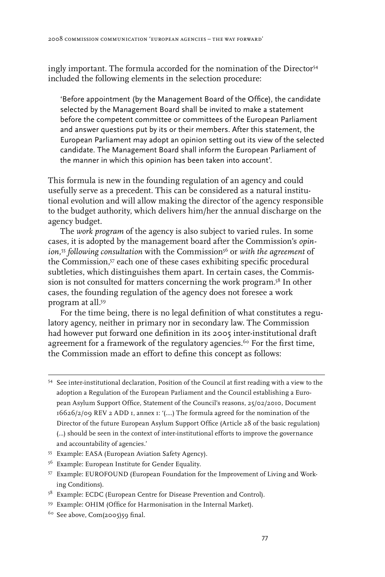ingly important. The formula accorded for the nomination of the Director<sup>54</sup> included the following elements in the selection procedure:

'Before appointment (by the Management Board of the Office), the candidate selected by the Management Board shall be invited to make a statement before the competent committee or committees of the European Parliament and answer questions put by its or their members. After this statement, the European Parliament may adopt an opinion setting out its view of the selected candidate. The Management Board shall inform the European Parliament of the manner in which this opinion has been taken into account'.

This formula is new in the founding regulation of an agency and could usefully serve as a precedent. This can be considered as a natural institutional evolution and will allow making the director of the agency responsible to the budget authority, which delivers him/her the annual discharge on the agency budget.

The *work program* of the agency is also subject to varied rules. In some cases, it is adopted by the management board after the Commission's *opin*ion,<sup>55</sup> following consultation with the Commission<sup>56</sup> or with the agreement of the Commission,57 each one of these cases exhibiting specific procedural subtleties, which distinguishes them apart. In certain cases, the Commission is not consulted for matters concerning the work program.58 In other cases, the founding regulation of the agency does not foresee a work program at all.59

For the time being, there is no legal definition of what constitutes a regulatory agency, neither in primary nor in secondary law. The Commission had however put forward one definition in its 2005 inter-institutional draft agreement for a framework of the regulatory agencies.<sup>60</sup> For the first time, the Commission made an effort to define this concept as follows:

- 55 Example: EASA (European Aviation Safety Agency).
- <sup>56</sup> Example: European Institute for Gender Equality.
- 57 Example: EUROFOUND (European Foundation for the Improvement of Living and Working Conditions).
- <sup>58</sup> Example: ECDC (European Centre for Disease Prevention and Control).
- 59 Example: OHIM (Office for Harmonisation in the Internal Market).
- $60$  See above, Com(2005)59 final.

<sup>54</sup> See inter-institutional declaration, Position of the Council at first reading with a view to the adoption a Regulation of the European Parliament and the Council establishing a European Asylum Support Office, Statement of the Council's reasons, 25/02/2010, Document 16626/2/09 REV 2 ADD 1, annex 1: '(….) The formula agreed for the nomination of the Director of the future European Asylum Support Office (Article 28 of the basic regulation) (…) should be seen in the context of inter-institutional efforts to improve the governance and accountability of agencies.'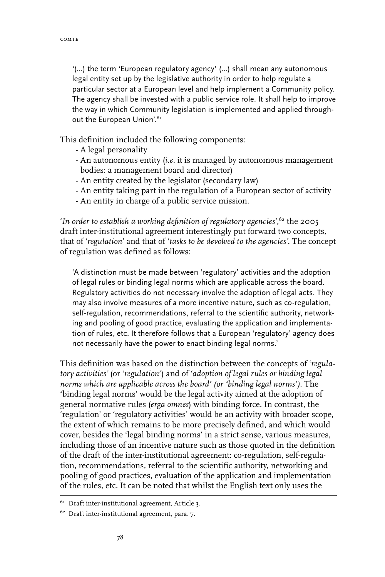'(…) the term 'European regulatory agency' (…) shall mean any autonomous legal entity set up by the legislative authority in order to help regulate a particular sector at a European level and help implement a Community policy. The agency shall be invested with a public service role. It shall help to improve the way in which Community legislation is implemented and applied throughout the European Union'.<sup>61</sup>

This definition included the following components:

- A legal personality
- An autonomous entity (*i.e.* it is managed by autonomous management bodies: a management board and director)
- An entity created by the legislator (secondary law)
- An entity taking part in the regulation of a European sector of activity
- An entity in charge of a public service mission.

'*In order to establish a working definition of regulatory agencies*',62 the 2005 draft inter-institutional agreement interestingly put forward two concepts, that of '*regulation*' and that of '*tasks to be devolved to the agencies'.* The concept of regulation was defined as follows:

'A distinction must be made between 'regulatory' activities and the adoption of legal rules or binding legal norms which are applicable across the board. Regulatory activities do not necessary involve the adoption of legal acts. They may also involve measures of a more incentive nature, such as co-regulation, self-regulation, recommendations, referral to the scientific authority, networking and pooling of good practice, evaluating the application and implementation of rules, etc. It therefore follows that a European 'regulatory' agency does not necessarily have the power to enact binding legal norms.'

This definition was based on the distinction between the concepts of '*regulatory activities'* (or '*regulation*') and of '*adoption of legal rules or binding legal norms which are applicable across the board' (or 'binding legal norms')*. The 'binding legal norms' would be the legal activity aimed at the adoption of general normative rules (*erga omnes*) with binding force. In contrast, the 'regulation' or 'regulatory activities' would be an activity with broader scope, the extent of which remains to be more precisely defined, and which would cover, besides the 'legal binding norms' in a strict sense, various measures, including those of an incentive nature such as those quoted in the definition of the draft of the inter-institutional agreement: co-regulation, self-regulation, recommendations, referral to the scientific authority, networking and pooling of good practices, evaluation of the application and implementation of the rules, etc. It can be noted that whilst the English text only uses the

<sup>&</sup>lt;sup>61</sup> Draft inter-institutional agreement, Article 3.

 $^{62}$  Draft inter-institutional agreement, para. 7.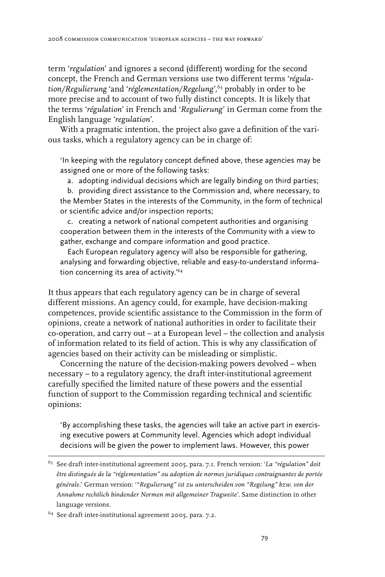term '*regulation*' and ignores a second (different) wording for the second concept, the French and German versions use two different terms '*régulation/Regulierung* 'and '*réglementation/Regelung*',63 probably in order to be more precise and to account of two fully distinct concepts. It is likely that the terms '*régulation*' in French and '*Regulierung*' in German come from the English language '*regulation*'.

With a pragmatic intention, the project also gave a definition of the various tasks, which a regulatory agency can be in charge of:

'In keeping with the regulatory concept defined above, these agencies may be assigned one or more of the following tasks:

a. adopting individual decisions which are legally binding on third parties;

b. providing direct assistance to the Commission and, where necessary, to the Member States in the interests of the Community, in the form of technical or scientific advice and/or inspection reports;

c. creating a network of national competent authorities and organising cooperation between them in the interests of the Community with a view to gather, exchange and compare information and good practice.

Each European regulatory agency will also be responsible for gathering, analysing and forwarding objective, reliable and easy-to-understand information concerning its area of activity.'64

It thus appears that each regulatory agency can be in charge of several different missions. An agency could, for example, have decision-making competences, provide scientific assistance to the Commission in the form of opinions, create a network of national authorities in order to facilitate their co-operation, and carry out – at a European level – the collection and analysis of information related to its field of action. This is why any classification of agencies based on their activity can be misleading or simplistic.

Concerning the nature of the decision-making powers devolved – when necessary – to a regulatory agency, the draft inter-institutional agreement carefully specified the limited nature of these powers and the essential function of support to the Commission regarding technical and scientific opinions:

'By accomplishing these tasks, the agencies will take an active part in exercising executive powers at Community level. Agencies which adopt individual decisions will be given the power to implement laws. However, this power

<sup>63</sup> See draft inter-institutional agreement 2005, para. 7.1. French version: '*La "régulation" doit être distinguée de la "réglementation" ou adoption de normes juridiques contraignantes de portée générale*.' German version: '"*Regulierung" ist zu unterscheiden von "Regelung" bzw. von der Annahme rechtlich bindender Normen mit allgemeiner Tragweite*'. Same distinction in other language versions.

<sup>64</sup> See draft inter-institutional agreement 2005, para. 7.2.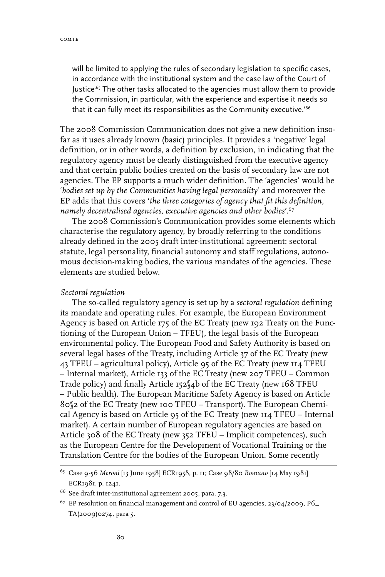will be limited to applying the rules of secondary legislation to specific cases, in accordance with the institutional system and the case law of the Court of Justice<sup>.65</sup> The other tasks allocated to the agencies must allow them to provide the Commission, in particular, with the experience and expertise it needs so that it can fully meet its responsibilities as the Community executive.<sup>'66</sup>

The 2008 Commission Communication does not give a new definition insofar as it uses already known (basic) principles. It provides a 'negative' legal definition, or in other words, a definition by exclusion, in indicating that the regulatory agency must be clearly distinguished from the executive agency and that certain public bodies created on the basis of secondary law are not agencies. The EP supports a much wider definition. The 'agencies' would be '*bodies set up by the Communities having legal personality*' and moreover the EP adds that this covers '*the three categories of agency that fit this definition, namely decentralised agencies, executive agencies and other bodies*'.67

The 2008 Commission's Communication provides some elements which characterise the regulatory agency, by broadly referring to the conditions already defined in the 2005 draft inter-institutional agreement: sectoral statute, legal personality, financial autonomy and staff regulations, autonomous decision-making bodies, the various mandates of the agencies. These elements are studied below.

#### *Sectoral regulation*

The so-called regulatory agency is set up by a *sectoral regulation* defining its mandate and operating rules. For example, the European Environment Agency is based on Article 175 of the EC Treaty (new 192 Treaty on the Functioning of the European Union – TFEU), the legal basis of the European environmental policy. The European Food and Safety Authority is based on several legal bases of the Treaty, including Article 37 of the EC Treaty (new 43 TFEU – agricultural policy), Article 95 of the EC Treaty (new 114 TFEU – Internal market), Article 133 of the EC Treaty (new 207 TFEU – Common Trade policy) and finally Article 152§4b of the EC Treaty (new 168 TFEU – Public health). The European Maritime Safety Agency is based on Article 80§2 of the EC Treaty (new 100 TFEU – Transport). The European Chemical Agency is based on Article 95 of the EC Treaty (new 114 TFEU – Internal market). A certain number of European regulatory agencies are based on Article 308 of the EC Treaty (new 352 TFEU – Implicit competences), such as the European Centre for the Development of Vocational Training or the Translation Centre for the bodies of the European Union. Some recently

<sup>65</sup> Case 9-56 *Meroni* [13 June 1958] ECR1958, p. 11; Case 98/80 *Romano* [14 May 1981] ECR1981, p. 1241.

<sup>66</sup> See draft inter-institutional agreement 2005, para. 7.3.

 $67$  EP resolution on financial management and control of EU agencies, 23/04/2009, P6 TA(2009)0274, para 5.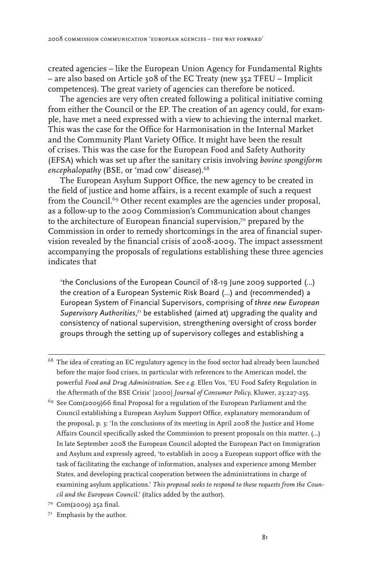created agencies – like the European Union Agency for Fundamental Rights – are also based on Article 308 of the EC Treaty (new 352 TFEU – Implicit competences). The great variety of agencies can therefore be noticed.

The agencies are very often created following a political initiative coming from either the Council or the EP. The creation of an agency could, for example, have met a need expressed with a view to achieving the internal market. This was the case for the Office for Harmonisation in the Internal Market and the Community Plant Variety Office. It might have been the result of crises. This was the case for the European Food and Safety Authority (EFSA) which was set up after the sanitary crisis involving *bovine spongiform*  encephalopathy (BSE, or 'mad cow' disease).<sup>68</sup>

The European Asylum Support Office, the new agency to be created in the field of justice and home affairs, is a recent example of such a request from the Council.<sup>69</sup> Other recent examples are the agencies under proposal, as a follow-up to the 2009 Commission's Communication about changes to the architecture of European financial supervision, $7^{\circ}$  prepared by the Commission in order to remedy shortcomings in the area of financial supervision revealed by the financial crisis of 2008-2009. The impact assessment accompanying the proposals of regulations establishing these three agencies indicates that

'the Conclusions of the European Council of 18-19 June 2009 supported (…) the creation of a European Systemic Risk Board (…) and (recommended) a European System of Financial Supervisors, comprising of *three new European*  Supervisory Authorities,<sup>71</sup> be established (aimed at) upgrading the quality and consistency of national supervision, strengthening oversight of cross border groups through the setting up of supervisory colleges and establishing a

- <sup>68</sup> The idea of creating an EC regulatory agency in the food sector had already been launched before the major food crises, in particular with references to the American model, the powerful *Food and Drug Administration*. See *e.g.* Ellen Vos, 'EU Food Safety Regulation in the Aftermath of the BSE Crisis' [2000] *Journal of Consumer Policy*, Kluwer, 23:227-255.
- 69 See Com(2009)66 final Proposal for a regulation of the European Parliament and the Council establishing a European Asylum Support Office, explanatory memorandum of the proposal, p. 3: 'In the conclusions of its meeting in April 2008 the Justice and Home Affairs Council specifically asked the Commission to present proposals on this matter. (…) In late September 2008 the European Council adopted the European Pact on Immigration and Asylum and expressly agreed, 'to establish in 2009 a European support office with the task of facilitating the exchange of information, analyses and experience among Member States, and developing practical cooperation between the administrations in charge of examining asylum applications.' *This proposal seeks to respond to these requests from the Council and the European Council*.' (italics added by the author).
- $7°$  Com(2009) 252 final.
- 71 Emphasis by the author.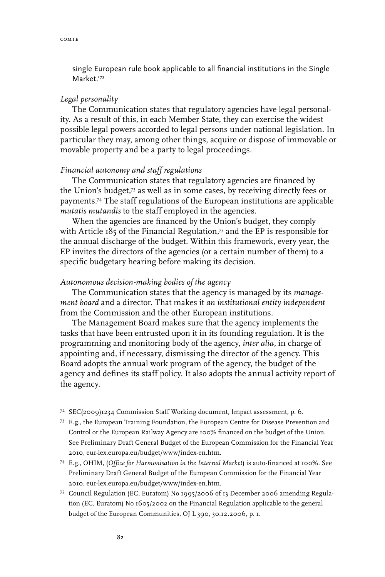single European rule book applicable to all financial institutions in the Single Market<sup>'72</sup>

#### *Legal personality*

The Communication states that regulatory agencies have legal personality. As a result of this, in each Member State, they can exercise the widest possible legal powers accorded to legal persons under national legislation. In particular they may, among other things, acquire or dispose of immovable or movable property and be a party to legal proceedings.

#### *Financial autonomy and staff regulations*

The Communication states that regulatory agencies are financed by the Union's budget,73 as well as in some cases, by receiving directly fees or payments.74 The staff regulations of the European institutions are applicable *mutatis mutandis* to the staff employed in the agencies.

When the agencies are financed by the Union's budget, they comply with Article 185 of the Financial Regulation,75 and the EP is responsible for the annual discharge of the budget. Within this framework, every year, the EP invites the directors of the agencies (or a certain number of them) to a specific budgetary hearing before making its decision.

#### *Autonomous decision-making bodies of the agency*

The Communication states that the agency is managed by its *management board* and a director. That makes it *an institutional entity independent*  from the Commission and the other European institutions.

The Management Board makes sure that the agency implements the tasks that have been entrusted upon it in its founding regulation. It is the programming and monitoring body of the agency, *inter alia,* in charge of appointing and, if necessary, dismissing the director of the agency. This Board adopts the annual work program of the agency, the budget of the agency and defines its staff policy. It also adopts the annual activity report of the agency.

- 74 E.g., OHIM, (*Office for Harmonisation in the Internal Market*) is auto-financed at 100%. See Preliminary Draft General Budget of the European Commission for the Financial Year 2010, eur-lex.europa.eu/budget/www/index-en.htm.
- 75 Council Regulation (EC, Euratom) No 1995/2006 of 13 December 2006 amending Regulation (EC, Euratom) No 1605/2002 on the Financial Regulation applicable to the general budget of the European Communities, OJ L 390, 30.12.2006, p. 1.

<sup>72</sup> SEC(2009)1234 Commission Staff Working document, Impact assessment, p. 6.

<sup>73</sup> E.g., the European Training Foundation, the European Centre for Disease Prevention and Control or the European Railway Agency are 100% financed on the budget of the Union. See Preliminary Draft General Budget of the European Commission for the Financial Year 2010, eur-lex.europa.eu/budget/www/index-en.htm.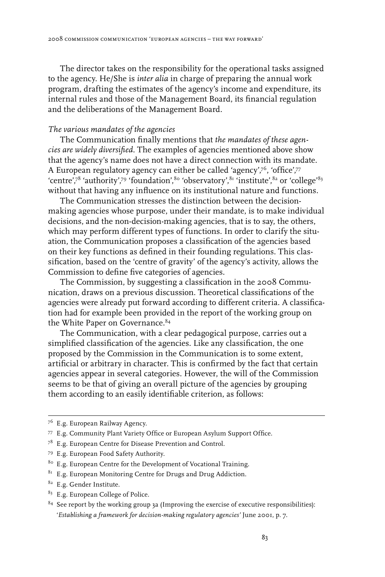The director takes on the responsibility for the operational tasks assigned to the agency. He/She is *inter alia* in charge of preparing the annual work program, drafting the estimates of the agency's income and expenditure, its internal rules and those of the Management Board, its financial regulation and the deliberations of the Management Board.

#### *The various mandates of the agencies*

The Communication finally mentions that *the mandates of these agencies are widely diversified*. The examples of agencies mentioned above show that the agency's name does not have a direct connection with its mandate. A European regulatory agency can either be called 'agency',76, 'office',77 'centre',78 'authority',79 'foundation',80 'observatory',81 'institute',82 or 'college'83 without that having any influence on its institutional nature and functions.

The Communication stresses the distinction between the decisionmaking agencies whose purpose, under their mandate, is to make individual decisions, and the non-decision-making agencies, that is to say, the others, which may perform different types of functions. In order to clarify the situation, the Communication proposes a classification of the agencies based on their key functions as defined in their founding regulations. This classification, based on the 'centre of gravity' of the agency's activity, allows the Commission to define five categories of agencies.

The Commission, by suggesting a classification in the 2008 Communication, draws on a previous discussion. Theoretical classifications of the agencies were already put forward according to different criteria. A classification had for example been provided in the report of the working group on the White Paper on Governance.<sup>84</sup>

The Communication, with a clear pedagogical purpose, carries out a simplified classification of the agencies. Like any classification, the one proposed by the Commission in the Communication is to some extent, artificial or arbitrary in character. This is confirmed by the fact that certain agencies appear in several categories. However, the will of the Commission seems to be that of giving an overall picture of the agencies by grouping them according to an easily identifiable criterion, as follows:

- 82 E.g. Gender Institute.
- <sup>83</sup> E.g. European College of Police.

<sup>76</sup> E.g. European Railway Agency.

<sup>77</sup> E.g. Community Plant Variety Office or European Asylum Support Office.

<sup>78</sup> E.g. European Centre for Disease Prevention and Control.

<sup>79</sup> E.g. European Food Safety Authority.

<sup>&</sup>lt;sup>80</sup> E.g. European Centre for the Development of Vocational Training.

 $8I$  E.g. European Monitoring Centre for Drugs and Drug Addiction.

 $84$  See report by the working group 3a (Improving the exercise of executive responsibilities): '*Establishing a framework for decision-making regulatory agencies'* June 2001, p. 7.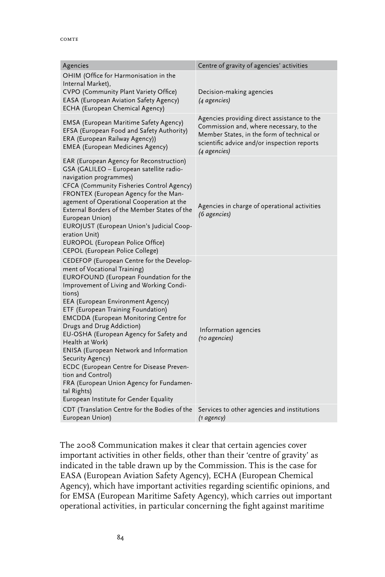| Agencies                                                                                                                                                                                                                                                                                                                                                                                                                                                                                                                                                                                                                                      | Centre of gravity of agencies' activities                                                                                                                                                           |
|-----------------------------------------------------------------------------------------------------------------------------------------------------------------------------------------------------------------------------------------------------------------------------------------------------------------------------------------------------------------------------------------------------------------------------------------------------------------------------------------------------------------------------------------------------------------------------------------------------------------------------------------------|-----------------------------------------------------------------------------------------------------------------------------------------------------------------------------------------------------|
| OHIM (Office for Harmonisation in the<br>Internal Market),<br>CVPO (Community Plant Variety Office)<br><b>EASA</b> (European Aviation Safety Agency)<br>ECHA (European Chemical Agency)                                                                                                                                                                                                                                                                                                                                                                                                                                                       | Decision-making agencies<br>(4 agencies)                                                                                                                                                            |
| <b>EMSA (European Maritime Safety Agency)</b><br>EFSA (European Food and Safety Authority)<br>ERA (European Railway Agency))<br><b>EMEA</b> (European Medicines Agency)                                                                                                                                                                                                                                                                                                                                                                                                                                                                       | Agencies providing direct assistance to the<br>Commission and, where necessary, to the<br>Member States, in the form of technical or<br>scientific advice and/or inspection reports<br>(4 agencies) |
| EAR (European Agency for Reconstruction)<br>GSA (GALILEO - European satellite radio-<br>navigation programmes)<br>CFCA (Community Fisheries Control Agency)<br>FRONTEX (European Agency for the Man-<br>agement of Operational Cooperation at the<br>External Borders of the Member States of the<br>European Union)<br>EUROJUST (European Union's Judicial Coop-<br>eration Unit)<br>EUROPOL (European Police Office)<br>CEPOL (European Police College)                                                                                                                                                                                     | Agencies in charge of operational activities<br>(6 agencies)                                                                                                                                        |
| CEDEFOP (European Centre for the Develop-<br>ment of Vocational Training)<br>EUROFOUND (European Foundation for the<br>Improvement of Living and Working Condi-<br>tions)<br>EEA (European Environment Agency)<br>ETF (European Training Foundation)<br><b>EMCDDA</b> (European Monitoring Centre for<br>Drugs and Drug Addiction)<br>EU-OSHA (European Agency for Safety and<br>Health at Work)<br><b>ENISA</b> (European Network and Information<br>Security Agency)<br>ECDC (European Centre for Disease Preven-<br>tion and Control)<br>FRA (European Union Agency for Fundamen-<br>tal Rights)<br>European Institute for Gender Equality | Information agencies<br>(10 agencies)                                                                                                                                                               |
| CDT (Translation Centre for the Bodies of the<br>European Union)                                                                                                                                                                                                                                                                                                                                                                                                                                                                                                                                                                              | Services to other agencies and institutions<br>$(1 \text{ agency})$                                                                                                                                 |

The 2008 Communication makes it clear that certain agencies cover important activities in other fields, other than their 'centre of gravity' as indicated in the table drawn up by the Commission. This is the case for EASA (European Aviation Safety Agency), ECHA (European Chemical Agency), which have important activities regarding scientific opinions, and for EMSA (European Maritime Safety Agency), which carries out important operational activities, in particular concerning the fight against maritime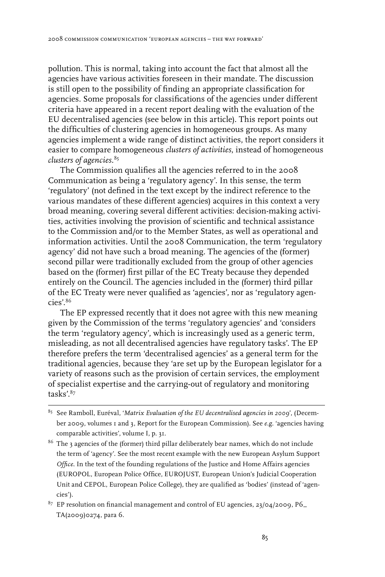pollution. This is normal, taking into account the fact that almost all the agencies have various activities foreseen in their mandate. The discussion is still open to the possibility of finding an appropriate classification for agencies. Some proposals for classifications of the agencies under different criteria have appeared in a recent report dealing with the evaluation of the EU decentralised agencies (see below in this article). This report points out the difficulties of clustering agencies in homogeneous groups. As many agencies implement a wide range of distinct activities, the report considers it easier to compare homogeneous *clusters of activities*, instead of homogeneous *clusters of agencies.*<sup>85</sup>

The Commission qualifies all the agencies referred to in the 2008 Communication as being a 'regulatory agency'. In this sense, the term 'regulatory' (not defined in the text except by the indirect reference to the various mandates of these different agencies) acquires in this context a very broad meaning, covering several different activities: decision-making activities, activities involving the provision of scientific and technical assistance to the Commission and/or to the Member States, as well as operational and information activities. Until the 2008 Communication, the term 'regulatory agency' did not have such a broad meaning. The agencies of the (former) second pillar were traditionally excluded from the group of other agencies based on the (former) first pillar of the EC Treaty because they depended entirely on the Council. The agencies included in the (former) third pillar of the EC Treaty were never qualified as 'agencies', nor as 'regulatory agen $cies'$ .86

The EP expressed recently that it does not agree with this new meaning given by the Commission of the terms 'regulatory agencies' and 'considers the term 'regulatory agency', which is increasingly used as a generic term, misleading, as not all decentralised agencies have regulatory tasks'. The EP therefore prefers the term 'decentralised agencies' as a general term for the traditional agencies, because they 'are set up by the European legislator for a variety of reasons such as the provision of certain services, the employment of specialist expertise and the carrying-out of regulatory and monitoring tasks'.87

- 85 See Ramboll, Euréval, '*Matrix Evaluation of the EU decentralised agencies in 2009*', (December 2009, volumes 1 and 3, Report for the European Commission). See *e.g*. 'agencies having comparable activities', volume I, p. 31.
- <sup>86</sup> The 3 agencies of the (former) third pillar deliberately bear names, which do not include the term of 'agency'. See the most recent example with the new European Asylum Support *Office*. In the text of the founding regulations of the Justice and Home Affairs agencies (EUROPOL, European Police Office, EUROJUST, European Union's Judicial Cooperation Unit and CEPOL, European Police College), they are qualified as 'bodies' (instead of 'agencies').
- $87$  EP resolution on financial management and control of EU agencies, 23/04/2009, P6 TA(2009)0274, para 6.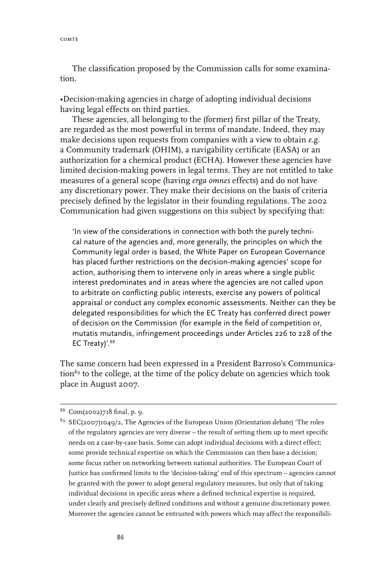comte

The classification proposed by the Commission calls for some examination.

•Decision-making agencies in charge of adopting individual decisions having legal effects on third parties.

These agencies, all belonging to the (former) first pillar of the Treaty, are regarded as the most powerful in terms of mandate. Indeed, they may make decisions upon requests from companies with a view to obtain *e.g*. a Community trademark (OHIM), a navigability certificate (EASA) or an authorization for a chemical product (ECHA). However these agencies have limited decision-making powers in legal terms. They are not entitled to take measures of a general scope (having *erga omnes* effects) and do not have any discretionary power. They make their decisions on the basis of criteria precisely defined by the legislator in their founding regulations. The 2002 Communication had given suggestions on this subject by specifying that:

'In view of the considerations in connection with both the purely technical nature of the agencies and, more generally, the principles on which the Community legal order is based, the White Paper on European Governance has placed further restrictions on the decision-making agencies' scope for action, authorising them to intervene only in areas where a single public interest predominates and in areas where the agencies are not called upon to arbitrate on conflicting public interests, exercise any powers of political appraisal or conduct any complex economic assessments. Neither can they be delegated responsibilities for which the EC Treaty has conferred direct power of decision on the Commission (for example in the field of competition or, mutatis mutandis, infringement proceedings under Articles 226 to 228 of the EC Treaty)'.<sup>88</sup>

The same concern had been expressed in a President Barroso's Communication<sup>89</sup> to the college, at the time of the policy debate on agencies which took place in August 2007.

<sup>88</sup> Com(2002)718 final, p. 9.

<sup>&</sup>lt;sup>89</sup> SEC(2007)1049/2, The Agencies of the European Union (Orientation debate) 'The roles of the regulatory agencies are very diverse – the result of setting them up to meet specific needs on a case-by-case basis. Some can adopt individual decisions with a direct effect; some provide technical expertise on which the Commission can then base a decision; some focus rather on networking between national authorities. The European Court of Justice has confirmed limits to the 'decision-taking' end of this spectrum – agencies cannot be granted with the power to adopt general regulatory measures, but only that of taking individual decisions in specific areas where a defined technical expertise is required, under clearly and precisely defined conditions and without a genuine discretionary power. Moreover the agencies cannot be entrusted with powers which may affect the responsibili-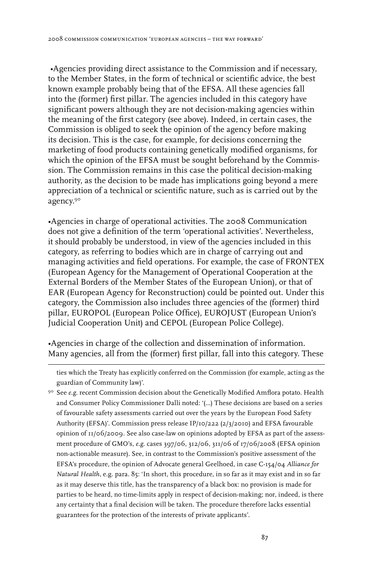•Agencies providing direct assistance to the Commission and if necessary, to the Member States, in the form of technical or scientific advice, the best known example probably being that of the EFSA. All these agencies fall into the (former) first pillar. The agencies included in this category have significant powers although they are not decision-making agencies within the meaning of the first category (see above). Indeed, in certain cases, the Commission is obliged to seek the opinion of the agency before making its decision. This is the case, for example, for decisions concerning the marketing of food products containing genetically modified organisms, for which the opinion of the EFSA must be sought beforehand by the Commission. The Commission remains in this case the political decision-making authority, as the decision to be made has implications going beyond a mere appreciation of a technical or scientific nature, such as is carried out by the agency.90

•Agencies in charge of operational activities. The 2008 Communication does not give a definition of the term 'operational activities'. Nevertheless, it should probably be understood, in view of the agencies included in this category, as referring to bodies which are in charge of carrying out and managing activities and field operations. For example, the case of FRONTEX (European Agency for the Management of Operational Cooperation at the External Borders of the Member States of the European Union), or that of EAR (European Agency for Reconstruction) could be pointed out. Under this category, the Commission also includes three agencies of the (former) third pillar, EUROPOL (European Police Office), EUROJUST (European Union's Judicial Cooperation Unit) and CEPOL (European Police College).

•Agencies in charge of the collection and dissemination of information. Many agencies, all from the (former) first pillar, fall into this category. These

ties which the Treaty has explicitly conferred on the Commission (for example, acting as the guardian of Community law)'.

90 See *e.g*. recent Commission decision about the Genetically Modified Amflora potato. Health and Consumer Policy Commissioner Dalli noted: '(…) These decisions are based on a series of favourable safety assessments carried out over the years by the European Food Safety Authority (EFSA)'. Commission press release IP/10/222 (2/3/2010) and EFSA favourable opinion of 11/06/2009. See also case-law on opinions adopted by EFSA as part of the assessment procedure of GMO's, *e.g*. cases 397/06, 312/06, 311/06 of 17/06/2008 (EFSA opinion non-actionable measure). See, in contrast to the Commission's positive assessment of the EFSA's procedure, the opinion of Advocate general Geelhoed, in case C-154/04 *Alliance for Natural Health*, e.g. para. 85: 'In short, this procedure, in so far as it may exist and in so far as it may deserve this title, has the transparency of a black box: no provision is made for parties to be heard, no time-limits apply in respect of decision-making; nor, indeed, is there any certainty that a final decision will be taken. The procedure therefore lacks essential guarantees for the protection of the interests of private applicants'.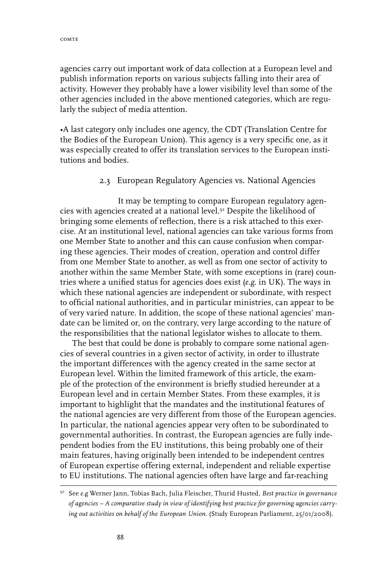agencies carry out important work of data collection at a European level and publish information reports on various subjects falling into their area of activity. However they probably have a lower visibility level than some of the other agencies included in the above mentioned categories, which are regularly the subject of media attention.

•A last category only includes one agency, the CDT (Translation Centre for the Bodies of the European Union). This agency is a very specific one, as it was especially created to offer its translation services to the European institutions and bodies.

### 2.3 European Regulatory Agencies vs. National Agencies

It may be tempting to compare European regulatory agencies with agencies created at a national level.91 Despite the likelihood of bringing some elements of reflection, there is a risk attached to this exercise. At an institutional level, national agencies can take various forms from one Member State to another and this can cause confusion when comparing these agencies. Their modes of creation, operation and control differ from one Member State to another, as well as from one sector of activity to another within the same Member State, with some exceptions in (rare) countries where a unified status for agencies does exist (*e.g*. in UK). The ways in which these national agencies are independent or subordinate, with respect to official national authorities, and in particular ministries, can appear to be of very varied nature. In addition, the scope of these national agencies' mandate can be limited or, on the contrary, very large according to the nature of the responsibilities that the national legislator wishes to allocate to them.

The best that could be done is probably to compare some national agencies of several countries in a given sector of activity, in order to illustrate the important differences with the agency created in the same sector at European level. Within the limited framework of this article, the example of the protection of the environment is briefly studied hereunder at a European level and in certain Member States. From these examples, it is important to highlight that the mandates and the institutional features of the national agencies are very different from those of the European agencies. In particular, the national agencies appear very often to be subordinated to governmental authorities. In contrast, the European agencies are fully independent bodies from the EU institutions, this being probably one of their main features, having originally been intended to be independent centres of European expertise offering external, independent and reliable expertise to EU institutions. The national agencies often have large and far-reaching

<sup>91</sup> See *e.g* Werner Jann, Tobias Bach, Julia Fleischer, Thurid Husted*, Best practice in governance of agencies – A comparative study in view of identifying best practice for governing agencies carrying out activities on behalf of the European Union*. (Study European Parliament, 25/01/2008).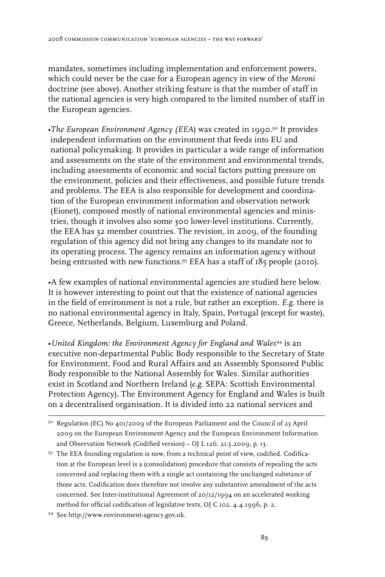mandates, sometimes including implementation and enforcement powers, which could never be the case for a European agency in view of the *Meroni* doctrine (see above). Another striking feature is that the number of staff in the national agencies is very high compared to the limited number of staff in the European agencies.

*•The European Environment Agency (EEA*) was created in 1990.92 It provides independent information on the environment that feeds into EU and national policymaking. It provides in particular a wide range of information and assessments on the state of the environment and environmental trends, including assessments of economic and social factors putting pressure on the environment, policies and their effectiveness, and possible future trends and problems. The EEA is also responsible for development and coordination of the European environment information and observation network (Eionet), composed mostly of national environmental agencies and ministries, though it involves also some 300 lower-level institutions. Currently, the EEA has 32 member countries. The revision, in 2009, of the founding regulation of this agency did not bring any changes to its mandate nor to its operating process. The agency remains an information agency without being entrusted with new functions.93 EEA has a staff of 185 people (2010).

•A few examples of national environmental agencies are studied here below. It is however interesting to point out that the existence of national agencies in the field of environment is not a rule, but rather an exception. *E.g.* there is no national environmental agency in Italy, Spain, Portugal (except for waste), Greece, Netherlands, Belgium, Luxemburg and Poland.

*•United Kingdom: the Environment Agency for England and Wales*<sup>94</sup> is an executive non-departmental Public Body responsible to the Secretary of State for Environment, Food and Rural Affairs and an Assembly Sponsored Public Body responsible to the National Assembly for Wales. Similar authorities exist in Scotland and Northern Ireland (*e.g*. SEPA: Scottish Environmental Protection Agency). The Environment Agency for England and Wales is built on a decentralised organisation. It is divided into 22 national services and

<sup>92</sup> Regulation (EC) No 401/2009 of the European Parliament and the Council of 23 April 2009 on the European Environment Agency and the European Environment Information and Observation Network (Codified version) – OJ L 126, 21.5.2009, p. 13.

<sup>93</sup> The EEA founding regulation is now, from a technical point of view, codified. Codification at the European level is a (consolidation) procedure that consists of repealing the acts concerned and replacing them with a single act containing the unchanged substance of those acts. Codification does therefore not involve any substantive amendment of the acts concerned. See Inter-institutional Agreement of 20/12/1994 on an accelerated working method for official codification of legislative texts, OJ C 102, 4.4.1996, p. 2.

<sup>94</sup> See http://www.environment-agency.gov.uk.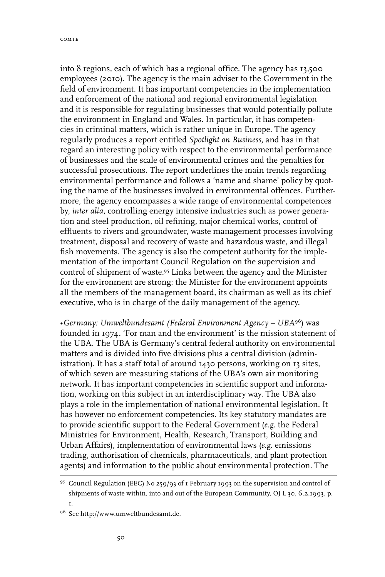into 8 regions, each of which has a regional office. The agency has 13,500 employees (2010). The agency is the main adviser to the Government in the field of environment. It has important competencies in the implementation and enforcement of the national and regional environmental legislation and it is responsible for regulating businesses that would potentially pollute the environment in England and Wales. In particular, it has competencies in criminal matters, which is rather unique in Europe. The agency regularly produces a report entitled *Spotlight on Business,* and has in that regard an interesting policy with respect to the environmental performance of businesses and the scale of environmental crimes and the penalties for successful prosecutions. The report underlines the main trends regarding environmental performance and follows a 'name and shame' policy by quoting the name of the businesses involved in environmental offences. Furthermore, the agency encompasses a wide range of environmental competences by, *inter alia*, controlling energy intensive industries such as power generation and steel production, oil refining, major chemical works, control of effluents to rivers and groundwater, waste management processes involving treatment, disposal and recovery of waste and hazardous waste, and illegal fish movements. The agency is also the competent authority for the implementation of the important Council Regulation on the supervision and control of shipment of waste.95 Links between the agency and the Minister for the environment are strong: the Minister for the environment appoints all the members of the management board, its chairman as well as its chief executive, who is in charge of the daily management of the agency.

*•Germany: Umweltbundesamt (Federal Environment Agency – UBA*96) was founded in 1974. 'For man and the environment' is the mission statement of the UBA. The UBA is Germany's central federal authority on environmental matters and is divided into five divisions plus a central division (administration). It has a staff total of around 1430 persons, working on 13 sites, of which seven are measuring stations of the UBA's own air monitoring network. It has important competencies in scientific support and information, working on this subject in an interdisciplinary way. The UBA also plays a role in the implementation of national environmental legislation. It has however no enforcement competencies. Its key statutory mandates are to provide scientific support to the Federal Government (*e.g*. the Federal Ministries for Environment, Health, Research, Transport, Building and Urban Affairs), implementation of environmental laws (*e.g*. emissions trading, authorisation of chemicals, pharmaceuticals, and plant protection agents) and information to the public about environmental protection. The

<sup>95</sup> Council Regulation (EEC) No 259/93 of 1 February 1993 on the supervision and control of shipments of waste within, into and out of the European Community, OJ L 30, 6.2.1993, p. 1.

<sup>96</sup> See http://www.umweltbundesamt.de.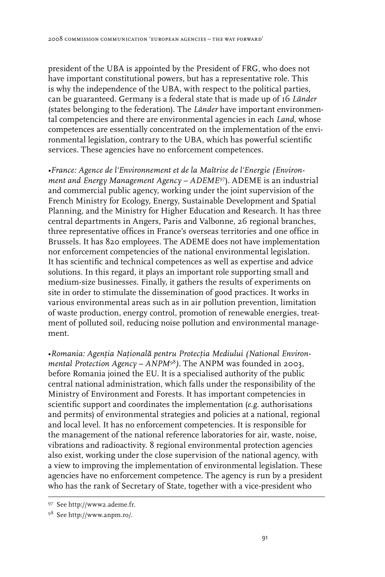president of the UBA is appointed by the President of FRG, who does not have important constitutional powers, but has a representative role. This is why the independence of the UBA, with respect to the political parties, can be guaranteed. Germany is a federal state that is made up of 16 *Länder* (states belonging to the federation). The *Länder* have important environmental competencies and there are environmental agencies in each *Land*, whose competences are essentially concentrated on the implementation of the environmental legislation, contrary to the UBA, which has powerful scientific services. These agencies have no enforcement competences.

*•France: Agence de l'Environnement et de la Maîtrise de l'Energie (Environment and Energy Management Agency – ADEME*97). ADEME is an industrial and commercial public agency, working under the joint supervision of the French Ministry for Ecology, Energy, Sustainable Development and Spatial Planning, and the Ministry for Higher Education and Research. It has three central departments in Angers, Paris and Valbonne, 26 regional branches, three representative offices in France's overseas territories and one office in Brussels. It has 820 employees. The ADEME does not have implementation nor enforcement competencies of the national environmental legislation. It has scientific and technical competences as well as expertise and advice solutions. In this regard, it plays an important role supporting small and medium-size businesses. Finally, it gathers the results of experiments on site in order to stimulate the dissemination of good practices. It works in various environmental areas such as in air pollution prevention, limitation of waste production, energy control, promotion of renewable energies, treatment of polluted soil, reducing noise pollution and environmental management.

*•Romania: Agenţia Naţională pentru Protecţia Mediului (National Environmental Protection Agency – ANPM*<sup>98</sup>*).* The ANPM was founded in 2003, before Romania joined the EU. It is a specialised authority of the public central national administration, which falls under the responsibility of the Ministry of Environment and Forests. It has important competencies in scientific support and coordinates the implementation (*e.g.* authorisations and permits) of environmental strategies and policies at a national, regional and local level. It has no enforcement competencies. It is responsible for the management of the national reference laboratories for air, waste, noise, vibrations and radioactivity. 8 regional environmental protection agencies also exist, working under the close supervision of the national agency, with a view to improving the implementation of environmental legislation. These agencies have no enforcement competence. The agency is run by a president who has the rank of Secretary of State, together with a vice-president who

<sup>97</sup> See http://www2.ademe.fr.

<sup>98</sup> See http://www.anpm.ro/.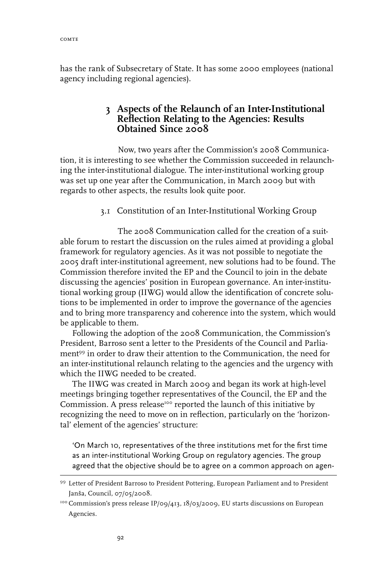has the rank of Subsecretary of State. It has some 2000 employees (national agency including regional agencies).

## **3 Aspects of the Relaunch of an Inter-Institutional Reflection Relating to the Agencies: Results Obtained Since 2008**

Now, two years after the Commission's 2008 Communication, it is interesting to see whether the Commission succeeded in relaunching the inter-institutional dialogue. The inter-institutional working group was set up one year after the Communication, in March 2009 but with regards to other aspects, the results look quite poor.

#### 3.1 Constitution of an Inter-Institutional Working Group

The 2008 Communication called for the creation of a suitable forum to restart the discussion on the rules aimed at providing a global framework for regulatory agencies. As it was not possible to negotiate the 2005 draft inter-institutional agreement, new solutions had to be found. The Commission therefore invited the EP and the Council to join in the debate discussing the agencies' position in European governance. An inter-institutional working group (IIWG) would allow the identification of concrete solutions to be implemented in order to improve the governance of the agencies and to bring more transparency and coherence into the system, which would be applicable to them.

Following the adoption of the 2008 Communication, the Commission's President, Barroso sent a letter to the Presidents of the Council and Parliament99 in order to draw their attention to the Communication, the need for an inter-institutional relaunch relating to the agencies and the urgency with which the IIWG needed to be created.

The IIWG was created in March 2009 and began its work at high-level meetings bringing together representatives of the Council, the EP and the Commission. A press release<sup>100</sup> reported the launch of this initiative by recognizing the need to move on in reflection, particularly on the 'horizontal' element of the agencies' structure:

'On March 10, representatives of the three institutions met for the first time as an inter-institutional Working Group on regulatory agencies. The group agreed that the objective should be to agree on a common approach on agen-

<sup>99</sup> Letter of President Barroso to President Pottering, European Parliament and to President Janša, Council, 07/05/2008.

<sup>&</sup>lt;sup>100</sup> Commission's press release IP/09/413, 18/03/2009, EU starts discussions on European Agencies.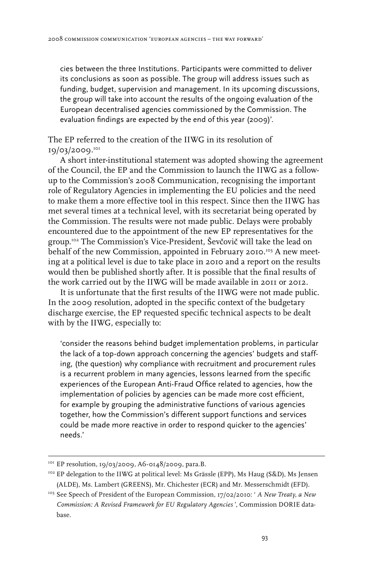cies between the three Institutions. Participants were committed to deliver its conclusions as soon as possible. The group will address issues such as funding, budget, supervision and management. In its upcoming discussions, the group will take into account the results of the ongoing evaluation of the European decentralised agencies commissioned by the Commission. The evaluation findings are expected by the end of this year (2009)'.

The EP referred to the creation of the IIWG in its resolution of 19/03/2009.101

A short inter-institutional statement was adopted showing the agreement of the Council, the EP and the Commission to launch the IIWG as a followup to the Commission's 2008 Communication, recognising the important role of Regulatory Agencies in implementing the EU policies and the need to make them a more effective tool in this respect. Since then the IIWG has met several times at a technical level, with its secretariat being operated by the Commission. The results were not made public. Delays were probably encountered due to the appointment of the new EP representatives for the group.102 The Commission's Vice-President, Ševčovič will take the lead on behalf of the new Commission, appointed in February 2010.103 A new meeting at a political level is due to take place in 2010 and a report on the results would then be published shortly after. It is possible that the final results of the work carried out by the IIWG will be made available in 2011 or 2012.

It is unfortunate that the first results of the IIWG were not made public. In the 2009 resolution, adopted in the specific context of the budgetary discharge exercise, the EP requested specific technical aspects to be dealt with by the IIWG, especially to:

'consider the reasons behind budget implementation problems, in particular the lack of a top-down approach concerning the agencies' budgets and staffing, (the question) why compliance with recruitment and procurement rules is a recurrent problem in many agencies, lessons learned from the specific experiences of the European Anti-Fraud Office related to agencies, how the implementation of policies by agencies can be made more cost efficient, for example by grouping the administrative functions of various agencies together, how the Commission's different support functions and services could be made more reactive in order to respond quicker to the agencies' needs.'

<sup>&</sup>lt;sup>101</sup> EP resolution, 19/03/2009, A6-0148/2009, para.B.

<sup>&</sup>lt;sup>102</sup> EP delegation to the IIWG at political level: Ms Grässle (EPP), Ms Haug (S&D), Ms Jensen (ALDE), Ms. Lambert (GREENS), Mr. Chichester (ECR) and Mr. Messerschmidt (EFD).

<sup>&</sup>lt;sup>103</sup> See Speech of President of the European Commission, 17/02/2010: ' *A New Treaty, a New Commission: A Revised Framework for EU Regulatory Agencies* ', Commission DORIE database.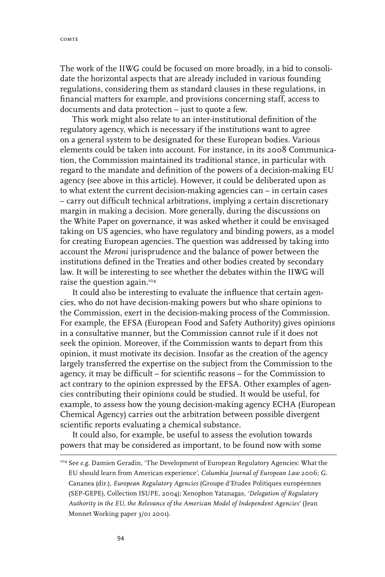The work of the IIWG could be focused on more broadly, in a bid to consolidate the horizontal aspects that are already included in various founding regulations, considering them as standard clauses in these regulations, in financial matters for example, and provisions concerning staff, access to documents and data protection – just to quote a few.

This work might also relate to an inter-institutional definition of the regulatory agency, which is necessary if the institutions want to agree on a general system to be designated for these European bodies. Various elements could be taken into account. For instance, in its 2008 Communication, the Commission maintained its traditional stance, in particular with regard to the mandate and definition of the powers of a decision-making EU agency (see above in this article). However, it could be deliberated upon as to what extent the current decision-making agencies can – in certain cases – carry out difficult technical arbitrations, implying a certain discretionary margin in making a decision. More generally, during the discussions on the White Paper on governance, it was asked whether it could be envisaged taking on US agencies, who have regulatory and binding powers, as a model for creating European agencies. The question was addressed by taking into account the *Meroni* jurisprudence and the balance of power between the institutions defined in the Treaties and other bodies created by secondary law. It will be interesting to see whether the debates within the IIWG will raise the question again.104

It could also be interesting to evaluate the influence that certain agencies, who do not have decision-making powers but who share opinions to the Commission, exert in the decision-making process of the Commission. For example, the EFSA (European Food and Safety Authority) gives opinions in a consultative manner, but the Commission cannot rule if it does not seek the opinion. Moreover, if the Commission wants to depart from this opinion, it must motivate its decision. Insofar as the creation of the agency largely transferred the expertise on the subject from the Commission to the agency, it may be difficult – for scientific reasons – for the Commission to act contrary to the opinion expressed by the EFSA. Other examples of agencies contributing their opinions could be studied. It would be useful, for example, to assess how the young decision-making agency ECHA (European Chemical Agency) carries out the arbitration between possible divergent scientific reports evaluating a chemical substance.

It could also, for example, be useful to assess the evolution towards powers that may be considered as important, to be found now with some

<sup>104</sup> See *e.g*. Damien Geradin, 'The Development of European Regulatory Agencies: What the EU should learn from American experience', *Columbia Journal of European Law* 2006; G. Cananea (dir.), *European Regulatory Agencies* (Groupe d'Etudes Politiques européennes (SEP-GEPE), Collection ISUPE, 2004)*;* Xenophon Yatanagas, *'Delegation of Regulatory Authority in the EU, the Relevance of the American Model of Independent Agencies'* (Jean Monnet Working paper 3/01 2001).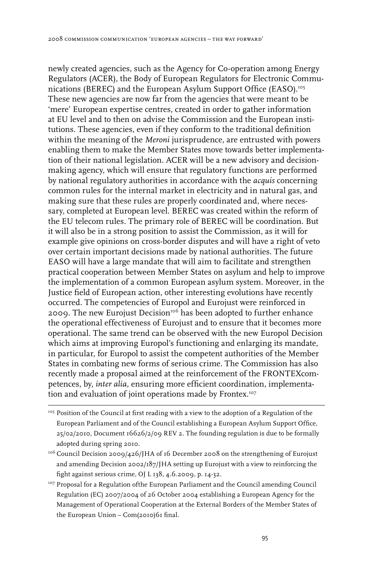newly created agencies, such as the Agency for Co-operation among Energy Regulators (ACER), the Body of European Regulators for Electronic Communications (BEREC) and the European Asylum Support Office (EASO).<sup>105</sup> These new agencies are now far from the agencies that were meant to be 'mere' European expertise centres, created in order to gather information at EU level and to then on advise the Commission and the European institutions. These agencies, even if they conform to the traditional definition within the meaning of the *Meroni* jurisprudence, are entrusted with powers enabling them to make the Member States move towards better implementation of their national legislation. ACER will be a new advisory and decisionmaking agency, which will ensure that regulatory functions are performed by national regulatory authorities in accordance with the *acquis* concerning common rules for the internal market in electricity and in natural gas, and making sure that these rules are properly coordinated and, where necessary, completed at European level. BEREC was created within the reform of the EU telecom rules. The primary role of BEREC will be coordination. But it will also be in a strong position to assist the Commission, as it will for example give opinions on cross-border disputes and will have a right of veto over certain important decisions made by national authorities. The future EASO will have a large mandate that will aim to facilitate and strengthen practical cooperation between Member States on asylum and help to improve the implementation of a common European asylum system. Moreover, in the Justice field of European action, other interesting evolutions have recently occurred. The competencies of Europol and Eurojust were reinforced in 2009. The new Eurojust Decision<sup>106</sup> has been adopted to further enhance the operational effectiveness of Eurojust and to ensure that it becomes more operational. The same trend can be observed with the new Europol Decision which aims at improving Europol's functioning and enlarging its mandate, in particular, for Europol to assist the competent authorities of the Member States in combating new forms of serious crime. The Commission has also recently made a proposal aimed at the reinforcement of the FRONTEXcompetences, by, *inter alia*, ensuring more efficient coordination, implementation and evaluation of joint operations made by Frontex.<sup>107</sup>

<sup>&</sup>lt;sup>105</sup> Position of the Council at first reading with a view to the adoption of a Regulation of the European Parliament and of the Council establishing a European Asylum Support Office, 25/02/2010, Document 16626/2/09 REV 2. The founding regulation is due to be formally adopted during spring 2010.

<sup>&</sup>lt;sup>106</sup> Council Decision 2009/426/JHA of 16 December 2008 on the strengthening of Eurojust and amending Decision 2002/187/JHA setting up Eurojust with a view to reinforcing the fight against serious crime, OJ L 138, 4.6.2009, p. 14-32.

<sup>&</sup>lt;sup>107</sup> Proposal for a Regulation of the European Parliament and the Council amending Council Regulation (EC) 2007/2004 of 26 October 2004 establishing a European Agency for the Management of Operational Cooperation at the External Borders of the Member States of the European Union – Com(2010)61 final.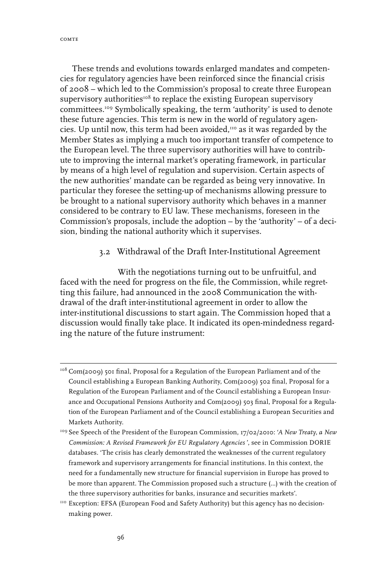comte

These trends and evolutions towards enlarged mandates and competencies for regulatory agencies have been reinforced since the financial crisis of 2008 – which led to the Commission's proposal to create three European supervisory authorities<sup>108</sup> to replace the existing European supervisory committees.109 Symbolically speaking, the term 'authority' is used to denote these future agencies. This term is new in the world of regulatory agencies. Up until now, this term had been avoided, $110$  as it was regarded by the Member States as implying a much too important transfer of competence to the European level. The three supervisory authorities will have to contribute to improving the internal market's operating framework, in particular by means of a high level of regulation and supervision. Certain aspects of the new authorities' mandate can be regarded as being very innovative. In particular they foresee the setting-up of mechanisms allowing pressure to be brought to a national supervisory authority which behaves in a manner considered to be contrary to EU law. These mechanisms, foreseen in the Commission's proposals, include the adoption – by the 'authority' – of a decision, binding the national authority which it supervises.

### 3.2 Withdrawal of the Draft Inter-Institutional Agreement

With the negotiations turning out to be unfruitful, and faced with the need for progress on the file, the Commission, while regretting this failure, had announced in the 2008 Communication the withdrawal of the draft inter-institutional agreement in order to allow the inter-institutional discussions to start again. The Commission hoped that a discussion would finally take place. It indicated its open-mindedness regarding the nature of the future instrument:

<sup>108</sup> Com(2009) 501 final, Proposal for a Regulation of the European Parliament and of the Council establishing a European Banking Authority, Com(2009) 502 final, Proposal for a Regulation of the European Parliament and of the Council establishing a European Insurance and Occupational Pensions Authority and Com(2009) 503 final, Proposal for a Regulation of the European Parliament and of the Council establishing a European Securities and Markets Authority.

<sup>109</sup> See Speech of the President of the European Commission, 17/02/2010: '*A New Treaty, a New Commission: A Revised Framework for EU Regulatory Agencies* ', see in Commission DORIE databases*.* 'The crisis has clearly demonstrated the weaknesses of the current regulatory framework and supervisory arrangements for financial institutions. In this context, the need for a fundamentally new structure for financial supervision in Europe has proved to be more than apparent. The Commission proposed such a structure (...) with the creation of the three supervisory authorities for banks, insurance and securities markets'.

<sup>&</sup>lt;sup>110</sup> Exception: EFSA (European Food and Safety Authority) but this agency has no decisionmaking power.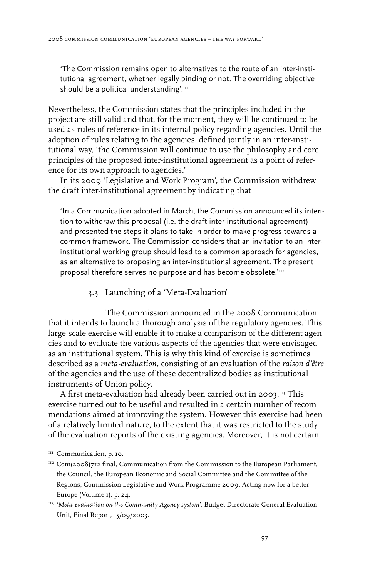'The Commission remains open to alternatives to the route of an inter-institutional agreement, whether legally binding or not. The overriding objective should be a political understanding'.<sup>111</sup>

Nevertheless, the Commission states that the principles included in the project are still valid and that, for the moment, they will be continued to be used as rules of reference in its internal policy regarding agencies. Until the adoption of rules relating to the agencies, defined jointly in an inter-institutional way, 'the Commission will continue to use the philosophy and core principles of the proposed inter-institutional agreement as a point of reference for its own approach to agencies.'

In its 2009 'Legislative and Work Program', the Commission withdrew the draft inter-institutional agreement by indicating that

'In a Communication adopted in March, the Commission announced its intention to withdraw this proposal (i.e. the draft inter-institutional agreement) and presented the steps it plans to take in order to make progress towards a common framework. The Commission considers that an invitation to an interinstitutional working group should lead to a common approach for agencies, as an alternative to proposing an inter-institutional agreement. The present proposal therefore serves no purpose and has become obsolete.'112

#### 3.3 Launching of a 'Meta-Evaluation'

The Commission announced in the 2008 Communication that it intends to launch a thorough analysis of the regulatory agencies. This large-scale exercise will enable it to make a comparison of the different agencies and to evaluate the various aspects of the agencies that were envisaged as an institutional system. This is why this kind of exercise is sometimes described as a *meta-evaluation*, consisting of an evaluation of the *raison d'être* of the agencies and the use of these decentralized bodies as institutional instruments of Union policy.

A first meta-evaluation had already been carried out in 2003.<sup>113</sup> This exercise turned out to be useful and resulted in a certain number of recommendations aimed at improving the system. However this exercise had been of a relatively limited nature, to the extent that it was restricted to the study of the evaluation reports of the existing agencies. Moreover, it is not certain

<sup>&</sup>lt;sup>III</sup> Communication, p. 10.

 $112$  Com(2008)712 final, Communication from the Commission to the European Parliament, the Council, the European Economic and Social Committee and the Committee of the Regions, Commission Legislative and Work Programme 2009, Acting now for a better Europe (Volume 1), p. 24.

<sup>113 &#</sup>x27;*Meta-evaluation on the Community Agency system*', Budget Directorate General Evaluation Unit, Final Report, 15/09/2003.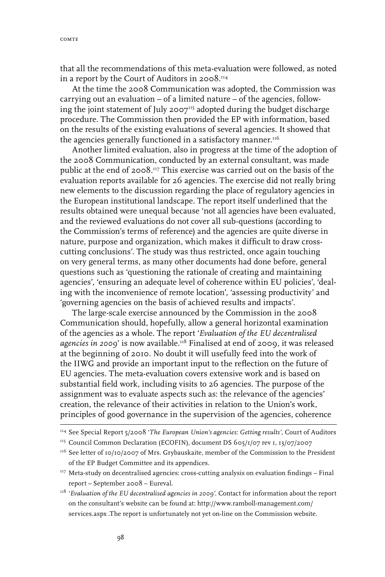that all the recommendations of this meta-evaluation were followed, as noted in a report by the Court of Auditors in 2008.<sup>114</sup>

At the time the 2008 Communication was adopted, the Commission was carrying out an evaluation – of a limited nature – of the agencies, following the joint statement of July 2007 $\frac{115}{20}$  adopted during the budget discharge procedure. The Commission then provided the EP with information, based on the results of the existing evaluations of several agencies. It showed that the agencies generally functioned in a satisfactory manner.<sup>116</sup>

Another limited evaluation, also in progress at the time of the adoption of the 2008 Communication, conducted by an external consultant, was made public at the end of 2008.<sup>117</sup> This exercise was carried out on the basis of the evaluation reports available for 26 agencies. The exercise did not really bring new elements to the discussion regarding the place of regulatory agencies in the European institutional landscape. The report itself underlined that the results obtained were unequal because 'not all agencies have been evaluated, and the reviewed evaluations do not cover all sub-questions (according to the Commission's terms of reference) and the agencies are quite diverse in nature, purpose and organization, which makes it difficult to draw crosscutting conclusions'. The study was thus restricted, once again touching on very general terms, as many other documents had done before, general questions such as 'questioning the rationale of creating and maintaining agencies', 'ensuring an adequate level of coherence within EU policies', 'dealing with the inconvenience of remote location', 'assessing productivity' and 'governing agencies on the basis of achieved results and impacts'.

The large-scale exercise announced by the Commission in the 2008 Communication should, hopefully, allow a general horizontal examination of the agencies as a whole. The report '*Evaluation of the EU decentralised agencies in 2009*' is now available.118 Finalised at end of 2009, it was released at the beginning of 2010. No doubt it will usefully feed into the work of the IIWG and provide an important input to the reflection on the future of EU agencies. The meta-evaluation covers extensive work and is based on substantial field work, including visits to 26 agencies. The purpose of the assignment was to evaluate aspects such as: the relevance of the agencies' creation, the relevance of their activities in relation to the Union's work, principles of good governance in the supervision of the agencies, coherence

<sup>118</sup> '*Evaluation of the EU decentralised agencies in 2009*'. Contact for information about the report on the consultant's website can be found at: http://www.ramboll-management.com/ services.aspx .The report is unfortunately not yet on-line on the Commission website.

<sup>114</sup> See Special Report 5/2008 '*The European Union's agencies: Getting results'*, Court of Auditors

<sup>&</sup>lt;sup>115</sup> Council Common Declaration (ECOFIN), document DS 605/1/07 rev 1, 13/07/2007

<sup>&</sup>lt;sup>116</sup> See letter of 10/10/2007 of Mrs. Grybauskaite, member of the Commission to the President of the EP Budget Committee and its appendices.

<sup>&</sup>lt;sup>117</sup> Meta-study on decentralised agencies: cross-cutting analysis on evaluation findings - Final report – September 2008 – Eureval.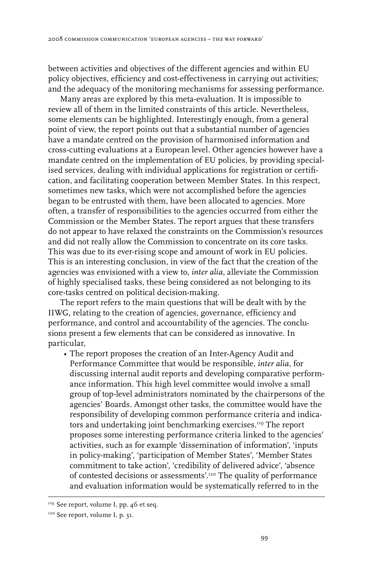between activities and objectives of the different agencies and within EU policy objectives, efficiency and cost-effectiveness in carrying out activities; and the adequacy of the monitoring mechanisms for assessing performance.

Many areas are explored by this meta-evaluation. It is impossible to review all of them in the limited constraints of this article. Nevertheless, some elements can be highlighted. Interestingly enough, from a general point of view, the report points out that a substantial number of agencies have a mandate centred on the provision of harmonised information and cross-cutting evaluations at a European level. Other agencies however have a mandate centred on the implementation of EU policies, by providing specialised services, dealing with individual applications for registration or certification, and facilitating cooperation between Member States. In this respect, sometimes new tasks, which were not accomplished before the agencies began to be entrusted with them, have been allocated to agencies. More often, a transfer of responsibilities to the agencies occurred from either the Commission or the Member States. The report argues that these transfers do not appear to have relaxed the constraints on the Commission's resources and did not really allow the Commission to concentrate on its core tasks. This was due to its ever-rising scope and amount of work in EU policies. This is an interesting conclusion, in view of the fact that the creation of the agencies was envisioned with a view to, *inter alia,* alleviate the Commission of highly specialised tasks, these being considered as not belonging to its core-tasks centred on political decision-making.

The report refers to the main questions that will be dealt with by the IIWG, relating to the creation of agencies, governance, efficiency and performance, and control and accountability of the agencies. The conclusions present a few elements that can be considered as innovative. In particular,

• The report proposes the creation of an Inter-Agency Audit and Performance Committee that would be responsible, *inter alia,* for discussing internal audit reports and developing comparative performance information. This high level committee would involve a small group of top-level administrators nominated by the chairpersons of the agencies' Boards. Amongst other tasks, the committee would have the responsibility of developing common performance criteria and indicators and undertaking joint benchmarking exercises.<sup>119</sup> The report proposes some interesting performance criteria linked to the agencies' activities, such as for example 'dissemination of information', 'inputs in policy-making', 'participation of Member States', 'Member States commitment to take action', 'credibility of delivered advice', 'absence of contested decisions or assessments'.120 The quality of performance and evaluation information would be systematically referred to in the

<sup>&</sup>lt;sup>119</sup> See report, volume I, pp. 46 et seq.

<sup>120</sup> See report, volume I, p. 31.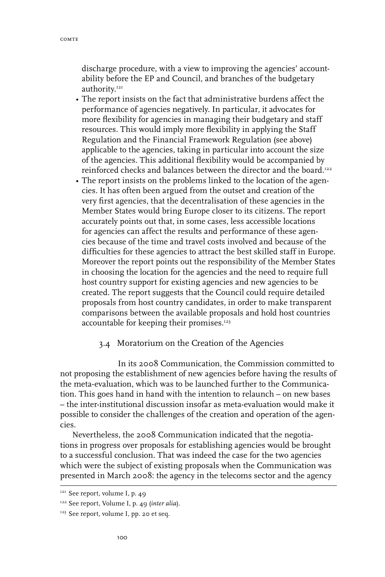discharge procedure, with a view to improving the agencies' accountability before the EP and Council, and branches of the budgetary authority.<sup>121</sup>

- The report insists on the fact that administrative burdens affect the performance of agencies negatively. In particular, it advocates for more flexibility for agencies in managing their budgetary and staff resources. This would imply more flexibility in applying the Staff Regulation and the Financial Framework Regulation (see above) applicable to the agencies, taking in particular into account the size of the agencies. This additional flexibility would be accompanied by reinforced checks and balances between the director and the board.<sup>122</sup>
- The report insists on the problems linked to the location of the agencies. It has often been argued from the outset and creation of the very first agencies, that the decentralisation of these agencies in the Member States would bring Europe closer to its citizens. The report accurately points out that, in some cases, less accessible locations for agencies can affect the results and performance of these agencies because of the time and travel costs involved and because of the difficulties for these agencies to attract the best skilled staff in Europe. Moreover the report points out the responsibility of the Member States in choosing the location for the agencies and the need to require full host country support for existing agencies and new agencies to be created. The report suggests that the Council could require detailed proposals from host country candidates, in order to make transparent comparisons between the available proposals and hold host countries accountable for keeping their promises. $123$

#### 3.4 Moratorium on the Creation of the Agencies

In its 2008 Communication, the Commission committed to not proposing the establishment of new agencies before having the results of the meta-evaluation, which was to be launched further to the Communication. This goes hand in hand with the intention to relaunch – on new bases – the inter-institutional discussion insofar as meta-evaluation would make it possible to consider the challenges of the creation and operation of the agencies.

Nevertheless, the 2008 Communication indicated that the negotiations in progress over proposals for establishing agencies would be brought to a successful conclusion. That was indeed the case for the two agencies which were the subject of existing proposals when the Communication was presented in March 2008: the agency in the telecoms sector and the agency

<sup>&</sup>lt;sup>121</sup> See report, volume I, p. 49

<sup>122</sup> See report, Volume I, p. 49 (*inter alia*).

<sup>&</sup>lt;sup>123</sup> See report, volume I, pp. 20 et seq.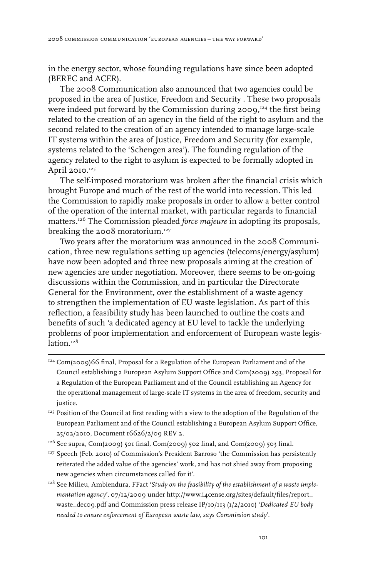in the energy sector, whose founding regulations have since been adopted (BEREC and ACER).

The 2008 Communication also announced that two agencies could be proposed in the area of Justice, Freedom and Security . These two proposals were indeed put forward by the Commission during 2009,124 the first being related to the creation of an agency in the field of the right to asylum and the second related to the creation of an agency intended to manage large-scale IT systems within the area of Justice, Freedom and Security (for example, systems related to the 'Schengen area'). The founding regulation of the agency related to the right to asylum is expected to be formally adopted in April 2010.<sup>125</sup>

The self-imposed moratorium was broken after the financial crisis which brought Europe and much of the rest of the world into recession. This led the Commission to rapidly make proposals in order to allow a better control of the operation of the internal market, with particular regards to financial matters.126 The Commission pleaded *force majeure* in adopting its proposals, breaking the 2008 moratorium.<sup>127</sup>

Two years after the moratorium was announced in the 2008 Communication, three new regulations setting up agencies (telecoms/energy/asylum) have now been adopted and three new proposals aiming at the creation of new agencies are under negotiation. Moreover, there seems to be on-going discussions within the Commission, and in particular the Directorate General for the Environment, over the establishment of a waste agency to strengthen the implementation of EU waste legislation. As part of this reflection, a feasibility study has been launched to outline the costs and benefits of such 'a dedicated agency at EU level to tackle the underlying problems of poor implementation and enforcement of European waste legislation.<sup>128</sup>

- <sup>124</sup> Com(2009)66 final, Proposal for a Regulation of the European Parliament and of the Council establishing a European Asylum Support Office and Com(2009) 293, Proposal for a Regulation of the European Parliament and of the Council establishing an Agency for the operational management of large-scale IT systems in the area of freedom, security and justice.
- <sup>125</sup> Position of the Council at first reading with a view to the adoption of the Regulation of the European Parliament and of the Council establishing a European Asylum Support Office, 25/02/2010, Document 16626/2/09 REV 2.
- 126 See supra, Com(2009) 501 final, Com(2009) 502 final, and Com(2009) 503 final.
- <sup>127</sup> Speech (Feb. 2010) of Commission's President Barroso 'the Commission has persistently reiterated the added value of the agencies' work, and has not shied away from proposing new agencies when circumstances called for it'.
- <sup>128</sup> See Milieu, Ambiendura, FFact 'Study on the feasibility of the establishment of a waste imple*mentation agency*', 07/12/2009 under http://www.i4cense.org/sites/default/files/report\_ waste\_dec09.pdf and Commission press release IP/10/113 (1/2/2010) '*Dedicated EU body needed to ensure enforcement of European waste law, says Commission study*'.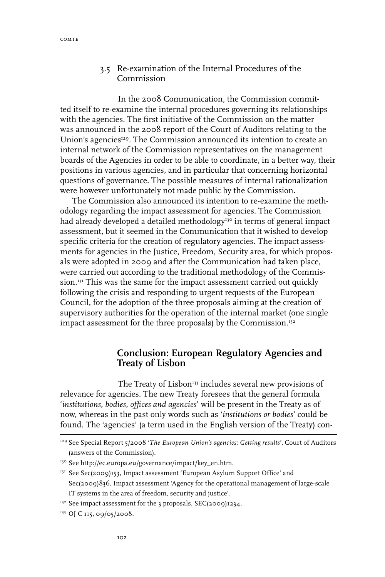## 3.5 Re-examination of the Internal Procedures of the Commission

In the 2008 Communication, the Commission committed itself to re-examine the internal procedures governing its relationships with the agencies. The first initiative of the Commission on the matter was announced in the 2008 report of the Court of Auditors relating to the Union's agencies<sup>129</sup>. The Commission announced its intention to create an internal network of the Commission representatives on the management boards of the Agencies in order to be able to coordinate, in a better way, their positions in various agencies, and in particular that concerning horizontal questions of governance. The possible measures of internal rationalization were however unfortunately not made public by the Commission.

The Commission also announced its intention to re-examine the methodology regarding the impact assessment for agencies. The Commission had already developed a detailed methodology<sup>130</sup> in terms of general impact assessment, but it seemed in the Communication that it wished to develop specific criteria for the creation of regulatory agencies. The impact assessments for agencies in the Justice, Freedom, Security area, for which proposals were adopted in 2009 and after the Communication had taken place, were carried out according to the traditional methodology of the Commission.<sup>131</sup> This was the same for the impact assessment carried out quickly following the crisis and responding to urgent requests of the European Council, for the adoption of the three proposals aiming at the creation of supervisory authorities for the operation of the internal market (one single impact assessment for the three proposals) by the Commission.<sup>132</sup>

## **Conclusion: European Regulatory Agencies and Treaty of Lisbon**

The Treaty of Lisbon<sup>133</sup> includes several new provisions of relevance for agencies. The new Treaty foresees that the general formula '*institutions, bodies, offices and agencies*' will be present in the Treaty as of now, whereas in the past only words such as '*institutions or bodies*' could be found. The 'agencies' (a term used in the English version of the Treaty) con-

<sup>129</sup> See Special Report 5/2008 '*The European Union's agencies: Getting results*', Court of Auditors (answers of the Commission).

<sup>130</sup> See http://ec.europa.eu/governance/impact/key\_en.htm.

<sup>131</sup> See Sec(2009)153, Impact assessment 'European Asylum Support Office' and Sec(2009)836, Impact assessment 'Agency for the operational management of large-scale IT systems in the area of freedom, security and justice'.

<sup>&</sup>lt;sup>132</sup> See impact assessment for the 3 proposals, SEC(2009)1234.

<sup>&</sup>lt;sup>133</sup> OJ C 115, 09/05/2008.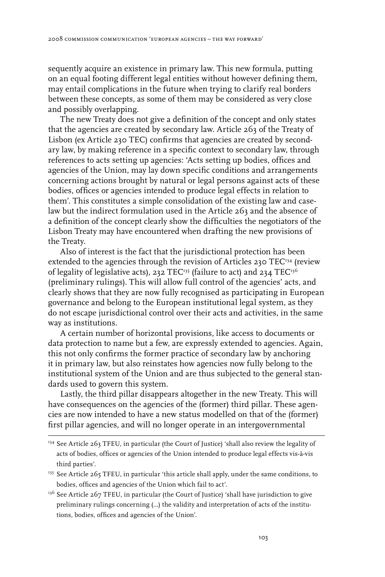sequently acquire an existence in primary law. This new formula, putting on an equal footing different legal entities without however defining them, may entail complications in the future when trying to clarify real borders between these concepts, as some of them may be considered as very close and possibly overlapping.

The new Treaty does not give a definition of the concept and only states that the agencies are created by secondary law. Article 263 of the Treaty of Lisbon (ex Article 230 TEC) confirms that agencies are created by secondary law, by making reference in a specific context to secondary law, through references to acts setting up agencies: 'Acts setting up bodies, offices and agencies of the Union, may lay down specific conditions and arrangements concerning actions brought by natural or legal persons against acts of these bodies, offices or agencies intended to produce legal effects in relation to them'. This constitutes a simple consolidation of the existing law and caselaw but the indirect formulation used in the Article 263 and the absence of a definition of the concept clearly show the difficulties the negotiators of the Lisbon Treaty may have encountered when drafting the new provisions of the Treaty.

Also of interest is the fact that the jurisdictional protection has been extended to the agencies through the revision of Articles 230 TEC<sup>134</sup> (review of legality of legislative acts), 232 TEC<sup>135</sup> (failure to act) and 234 TEC<sup>136</sup> (preliminary rulings). This will allow full control of the agencies' acts, and clearly shows that they are now fully recognised as participating in European governance and belong to the European institutional legal system, as they do not escape jurisdictional control over their acts and activities, in the same way as institutions.

A certain number of horizontal provisions, like access to documents or data protection to name but a few, are expressly extended to agencies. Again, this not only confirms the former practice of secondary law by anchoring it in primary law, but also reinstates how agencies now fully belong to the institutional system of the Union and are thus subjected to the general standards used to govern this system.

Lastly, the third pillar disappears altogether in the new Treaty. This will have consequences on the agencies of the (former) third pillar. These agencies are now intended to have a new status modelled on that of the (former) first pillar agencies, and will no longer operate in an intergovernmental

<sup>136</sup> See Article 267 TFEU, in particular (the Court of Justice) 'shall have jurisdiction to give preliminary rulings concerning (…) the validity and interpretation of acts of the institutions, bodies, offices and agencies of the Union'.

<sup>&</sup>lt;sup>134</sup> See Article 263 TFEU, in particular (the Court of Justice) 'shall also review the legality of acts of bodies, offices or agencies of the Union intended to produce legal effects vis-à-vis third parties'.

<sup>&</sup>lt;sup>135</sup> See Article 265 TFEU, in particular 'this article shall apply, under the same conditions, to bodies, offices and agencies of the Union which fail to act'.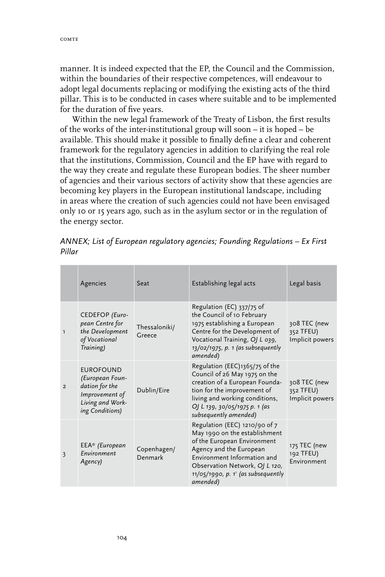**Contract Contract** 

manner. It is indeed expected that the EP, the Council and the Commission, within the boundaries of their respective competences, will endeavour to adopt legal documents replacing or modifying the existing acts of the third pillar. This is to be conducted in cases where suitable and to be implemented for the duration of five years.

Within the new legal framework of the Treaty of Lisbon, the first results of the works of the inter-institutional group will soon – it is hoped – be available. This should make it possible to finally define a clear and coherent framework for the regulatory agencies in addition to clarifying the real role that the institutions, Commission, Council and the EP have with regard to the way they create and regulate these European bodies. The sheer number of agencies and their various sectors of activity show that these agencies are becoming key players in the European institutional landscape, including in areas where the creation of such agencies could not have been envisaged only 10 or 15 years ago, such as in the asylum sector or in the regulation of the energy sector.

|                | Agencies                                                                                                       | Seat                    | Establishing legal acts                                                                                                                                                                                                                        | Legal basis                                  |
|----------------|----------------------------------------------------------------------------------------------------------------|-------------------------|------------------------------------------------------------------------------------------------------------------------------------------------------------------------------------------------------------------------------------------------|----------------------------------------------|
| $\mathbf{1}$   | CEDEFOP (Euro-<br>pean Centre for<br>the Development<br>of Vocational<br>Training)                             | Thessaloniki/<br>Greece | Regulation (EC) $337/75$ of<br>the Council of 10 February<br>1975 establishing a European<br>Centre for the Development of<br>Vocational Training, OJ L 039,<br>$13/02/1975$ , p. 1 (as subsequently<br>amended)                               | 308 TEC (new<br>352 TFEU)<br>Implicit powers |
| $\overline{2}$ | <b>EUROFOUND</b><br>(European Foun-<br>dation for the<br>Improvement of<br>Living and Work-<br>ing Conditions) | Dublin/Eire             | Regulation (EEC)1365/75 of the<br>Council of 26 May 1975 on the<br>creation of a European Founda-<br>tion for the improvement of<br>living and working conditions,<br>OJ L 139, 30/05/1975 p. 1 (as<br>subsequently amended)                   | 308 TEC (new<br>352 TFEU)<br>Implicit powers |
| 3              | $EEA*$ (European<br>Environment<br>Agency)                                                                     | Copenhagen/<br>Denmark  | Regulation (EEC) 1210/90 of 7<br>May 1990 on the establishment<br>of the European Environment<br>Agency and the European<br>Environment Information and<br>Observation Network, OJ L 120,<br>$11/05/1990$ , p. 1' (as subsequently<br>amended) | 175 TEC (new<br>192 TFEU)<br>Environment     |

*ANNEX; List of European regulatory agencies; Founding Regulations – Ex First Pillar*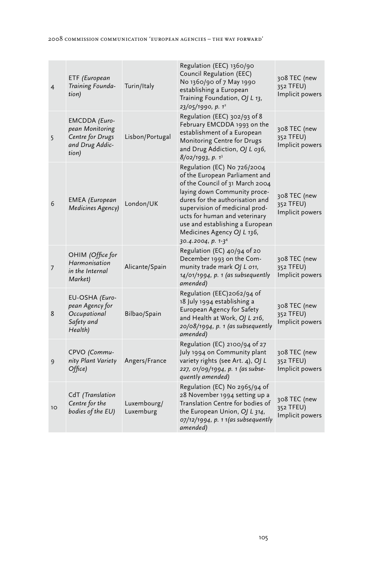| $\overline{4}$ | ETF (European<br>Training Founda-<br>tion)                                       | Turin/Italy              | Regulation (EEC) 1360/90<br>Council Regulation (EEC)<br>No 1360/90 of 7 May 1990<br>establishing a European<br>Training Foundation, OJ L 13,<br>23/05/1990, p. 1 <sup>2</sup>                                                                                                                                                             | 308 TEC (new<br>352 TFEU)<br>Implicit powers |
|----------------|----------------------------------------------------------------------------------|--------------------------|-------------------------------------------------------------------------------------------------------------------------------------------------------------------------------------------------------------------------------------------------------------------------------------------------------------------------------------------|----------------------------------------------|
| 5              | EMCDDA (Euro-<br>pean Monitoring<br>Centre for Drugs<br>and Drug Addic-<br>tion) | Lisbon/Portugal          | Regulation (EEC) 302/93 of 8<br>February EMCDDA 1993 on the<br>establishment of a European<br>Monitoring Centre for Drugs<br>and Drug Addiction, OJ L 036,<br>$8/02/1993$ , p. 13                                                                                                                                                         | 308 TEC (new<br>352 TFEU)<br>Implicit powers |
| 6              | <b>EMEA</b> (European<br>Medicines Agency)                                       | London/UK                | Regulation (EC) No 726/2004<br>of the European Parliament and<br>of the Council of 31 March 2004<br>laying down Community proce-<br>dures for the authorisation and<br>supervision of medicinal prod-<br>ucts for human and veterinary<br>use and establishing a European<br>Medicines Agency OJ L 136,<br>30.4.2004, p. 1-3 <sup>4</sup> | 308 TEC (new<br>352 TFEU)<br>Implicit powers |
| 7              | OHIM (Office for<br>Harmonisation<br>in the Internal<br>Market)                  | Alicante/Spain           | Regulation (EC) 40/94 of 20<br>December 1993 on the Com-<br>munity trade mark OJ L 011,<br>$14/01/1994$ , p. 1 (as subsequently<br>amended)                                                                                                                                                                                               | 308 TEC (new<br>352 TFEU)<br>Implicit powers |
| 8              | EU-OSHA (Euro-<br>pean Agency for<br>Occupational<br>Safety and<br>Health)       | Bilbao/Spain             | Regulation (EEC)2062/94 of<br>18 July 1994 establishing a<br>European Agency for Safety<br>and Health at Work, OJ L 216,<br>$20/08/1994$ , p. 1 (as subsequently<br>amended)                                                                                                                                                              | 308 TEC (new<br>352 TFEU)<br>Implicit powers |
| 9              | CPVO (Commu-<br>nity Plant Variety<br>Office)                                    | Angers/France            | Regulation (EC) 2100/94 of 27<br>July 1994 on Community plant<br>variety rights (see Art. 4), OJ L<br>227, 01/09/1994, p. 1 (as subse-<br>quently amended)                                                                                                                                                                                | 308 TEC (new<br>352 TFEU)<br>Implicit powers |
| 10             | CdT (Translation<br>Centre for the<br>bodies of the EU)                          | Luxembourg/<br>Luxemburg | Regulation (EC) No 2965/94 of<br>28 November 1994 setting up a<br>Translation Centre for bodies of<br>the European Union, OJ L 314,<br>$07/12/1994$ , p. 11(as subsequently<br>amended)                                                                                                                                                   | 308 TEC (new<br>352 TFEU)<br>Implicit powers |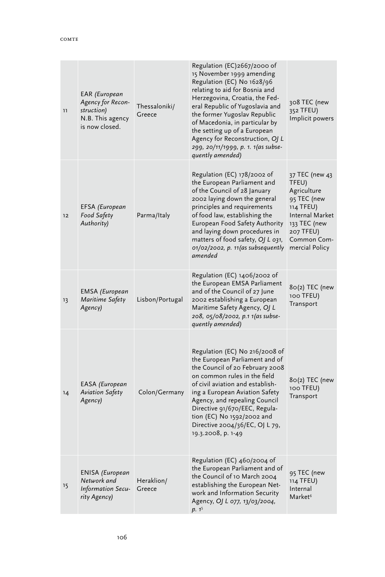| 11 | EAR (European<br>Agency for Recon-<br>struction)<br>N.B. This agency<br>is now closed. | Thessaloniki/<br>Greece | Regulation (EC)2667/2000 of<br>15 November 1999 amending<br>Regulation (EC) No 1628/96<br>relating to aid for Bosnia and<br>Herzegovina, Croatia, the Fed-<br>eral Republic of Yugoslavia and<br>the former Yugoslav Republic<br>of Macedonia, in particular by<br>the setting up of a European<br>Agency for Reconstruction, OJ L<br>299, 20/11/1999, p. 1. 1(as subse-<br>quently amended) | 308 TEC (new<br>352 TFEU)<br>Implicit powers                                                                                                        |
|----|----------------------------------------------------------------------------------------|-------------------------|----------------------------------------------------------------------------------------------------------------------------------------------------------------------------------------------------------------------------------------------------------------------------------------------------------------------------------------------------------------------------------------------|-----------------------------------------------------------------------------------------------------------------------------------------------------|
| 12 | EFSA (European<br>Food Safety<br>Authority)                                            | Parma/Italy             | Regulation (EC) 178/2002 of<br>the European Parliament and<br>of the Council of 28 January<br>2002 laying down the general<br>principles and requirements<br>of food law, establishing the<br>European Food Safety Authority<br>and laying down procedures in<br>matters of food safety, OJ L 031,<br>$01/02/2002$ , p. 11(as subsequently<br>amended                                        | 37 TEC (new 43<br>TFEU)<br>Agriculture<br>95 TEC (new<br>114 TFEU)<br>Internal Market<br>133 TEC (new<br>207 TFEU)<br>Common Com-<br>mercial Policy |
| 13 | <b>EMSA</b> (European<br>Maritime Safety<br>Agency)                                    | Lisbon/Portugal         | Regulation (EC) 1406/2002 of<br>the European EMSA Parliament<br>and of the Council of 27 June<br>2002 establishing a European<br>Maritime Safety Agency, OJ L<br>208, 05/08/2002, p.1 1(as subse-<br>quently amended)                                                                                                                                                                        | 80(2) TEC (new<br>100 TFEU)<br>Transport                                                                                                            |
| 14 | EASA (European<br>Aviation Safety<br>Agency)                                           | Colon/Germany           | Regulation (EC) No 216/2008 of<br>the European Parliament and of<br>the Council of 20 February 2008<br>on common rules in the field<br>of civil aviation and establish-<br>ing a European Aviation Safety<br>Agency, and repealing Council<br>Directive 91/670/EEC, Regula-<br>tion (EC) No 1592/2002 and<br>Directive 2004/36/EC, OJ L 79,<br>19.3.2008, p. 1-49                            | 80(2) TEC (new<br>100 TFEU)<br>Transport                                                                                                            |
| 15 | ENISA (European<br>Network and<br>Information Secu-<br>rity Agency)                    | Heraklion/<br>Greece    | Regulation (EC) 460/2004 of<br>the European Parliament and of<br>the Council of 10 March 2004<br>establishing the European Net-<br>work and Information Security<br>Agency, OJ L 077, 13/03/2004,<br>p. 15                                                                                                                                                                                   | 95 TEC (new<br>114 TFEU)<br>Internal<br>Market <sup>6</sup>                                                                                         |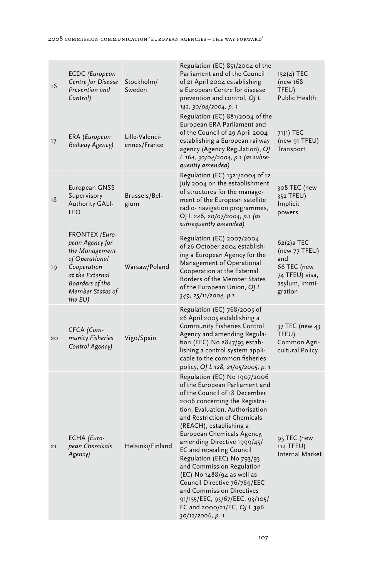| 16 | ECDC (European<br>Centre for Disease<br>Prevention and<br>Control)                                                                                           | Stockholm/<br>Sweden           | Regulation (EC) 851/2004 of the<br>Parliament and of the Council<br>of 21 April 2004 establishing<br>a European Centre for disease<br>prevention and control, OJ L<br>142, 30/04/2004, p. 1                                                                                                                                                                                                                                                                                                                                                                                   | $152(4)$ TEC<br>(new 168<br>TFEU)<br>Public Health                                              |
|----|--------------------------------------------------------------------------------------------------------------------------------------------------------------|--------------------------------|-------------------------------------------------------------------------------------------------------------------------------------------------------------------------------------------------------------------------------------------------------------------------------------------------------------------------------------------------------------------------------------------------------------------------------------------------------------------------------------------------------------------------------------------------------------------------------|-------------------------------------------------------------------------------------------------|
| 17 | ERA (European<br>Railway Agency)                                                                                                                             | Lille-Valenci-<br>ennes/France | Regulation (EC) 881/2004 of the<br>European ERA Parliament and<br>of the Council of 29 April 2004<br>establishing a European railway<br>agency (Agency Regulation), OJ<br>L 164, 30/04/2004, p.1 (as subse-<br>quently amended)                                                                                                                                                                                                                                                                                                                                               | 71(1) TEC<br>(new 91 TFEU)<br>Transport                                                         |
| 18 | European GNSS<br>Supervisory<br>Authority GALI-<br>LEO                                                                                                       | Brussels/Bel-<br>gium          | Regulation (EC) 1321/2004 of 12<br>July 2004 on the establishment<br>of structures for the manage-<br>ment of the European satellite<br>radio- navigation programmes,<br>OJ L 246, 20/07/2004, p.1 (as<br>subsequently amended)                                                                                                                                                                                                                                                                                                                                               | 308 TEC (new<br>352 TFEU)<br>Implicit<br>powers                                                 |
| 19 | FRONTEX (Euro-<br>pean Agency for<br>the Management<br>of Operational<br>Cooperation<br>at the External<br>Boarders of the<br>Member States of<br>the $EU$ ) | Warsaw/Poland                  | Regulation (EC) 2007/2004<br>of 26 October 2004 establish-<br>ing a European Agency for the<br>Management of Operational<br>Cooperation at the External<br>Borders of the Member States<br>of the European Union, OJ L<br>349, 25/11/2004, p.1                                                                                                                                                                                                                                                                                                                                | 62(2)a TEC<br>(new 77 TFEU)<br>and<br>66 TEC (new<br>74 TFEU) visa,<br>asylum, immi-<br>gration |
| 20 | CFCA (Com-<br>munity Fisheries<br>Control Agency)                                                                                                            | Vigo/Spain                     | Regulation (EC) 768/2005 of<br>26 April 2005 establishing a<br><b>Community Fisheries Control</b><br>Agency and amending Regula-<br>tion (EEC) No 2847/93 estab-<br>lishing a control system appli-<br>cable to the common fisheries<br>policy, OJ L 128, 21/05/2005, p. 1                                                                                                                                                                                                                                                                                                    | 37 TEC (new 43<br>TFEU)<br>Common Agri-<br>cultural Policy                                      |
| 21 | ECHA (Euro-<br>pean Chemicals<br>Agency)                                                                                                                     | Helsinki/Finland               | Regulation (EC) No 1907/2006<br>of the European Parliament and<br>of the Council of 18 December<br>2006 concerning the Registra-<br>tion, Evaluation, Authorisation<br>and Restriction of Chemicals<br>(REACH), establishing a<br>European Chemicals Agency,<br>amending Directive 1999/45/<br><b>EC</b> and repealing Council<br>Regulation (EEC) No 793/93<br>and Commission Regulation<br>$(EC)$ No $1488/94$ as well as<br>Council Directive 76/769/EEC<br>and Commission Directives<br>91/155/EEC, 93/67/EEC, 93/105/<br>EC and 2000/21/EC, OJ L 396<br>30/12/2006, p. 1 | 95 TEC (new<br>114 TFEU)<br>Internal Market                                                     |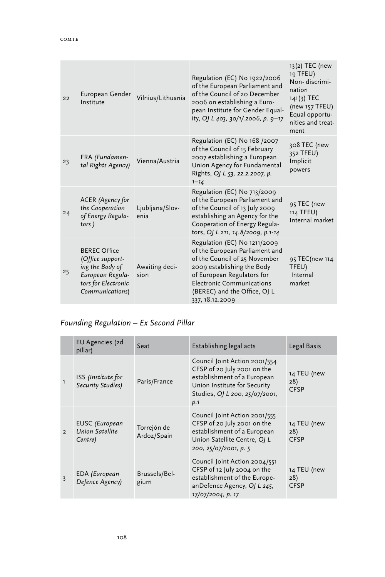| 22 | European Gender<br>Institute                                                                                             | Vilnius/Lithuania       | Regulation (EC) No 1922/2006<br>of the European Parliament and<br>of the Council of 20 December<br>2006 on establishing a Euro-<br>pean Institute for Gender Equal-<br>ity, OJ L 403, 30/1/.2006, p. 9-17                                          | 13(2) TEC (new<br>19 TFEU)<br>Non-discrimi-<br>nation<br>$141(3)$ TEC<br>(new 157 TFEU)<br>Equal opportu-<br>nities and treat-<br>ment |
|----|--------------------------------------------------------------------------------------------------------------------------|-------------------------|----------------------------------------------------------------------------------------------------------------------------------------------------------------------------------------------------------------------------------------------------|----------------------------------------------------------------------------------------------------------------------------------------|
| 23 | FRA (Fundamen-<br>tal Rights Agency)                                                                                     | Vienna/Austria          | Regulation (EC) No 168 /2007<br>of the Council of 15 February<br>2007 establishing a European<br>Union Agency for Fundamental<br>Rights, O/ L 53, 22.2.2007, p.<br>$1 - 14$                                                                        | 308 TEC (new<br>352 TFEU)<br>Implicit<br>powers                                                                                        |
| 24 | ACER (Agency for<br>the Cooperation<br>of Energy Regula-<br>tors)                                                        | Ljubljana/Slov-<br>enia | Regulation (EC) No 713/2009<br>of the European Parliament and<br>of the Council of 13 July 2009<br>establishing an Agency for the<br>Cooperation of Energy Regula-<br>tors, OJ L 211, 14.8/2009, p.1-14                                            | 95 TEC (new<br>114 TFEU)<br>Internal market                                                                                            |
| 25 | <b>BEREC Office</b><br>(Office support-<br>ing the Body of<br>European Regula-<br>tors for Electronic<br>Communications) | Awaiting deci-<br>sion  | Regulation (EC) No 1211/2009<br>of the European Parliament and<br>of the Council of 25 November<br>2009 establishing the Body<br>of European Regulators for<br><b>Electronic Communications</b><br>(BEREC) and the Office, OJ L<br>337, 18.12.2009 | 95 TEC (new 114<br>TFEU)<br>Internal<br>market                                                                                         |

## *Founding Regulation – Ex Second Pillar*

|               | EU Agencies (2d<br>pillar)                          | Seat                       | Establishing legal acts                                                                                                                                              | Legal Basis                       |
|---------------|-----------------------------------------------------|----------------------------|----------------------------------------------------------------------------------------------------------------------------------------------------------------------|-----------------------------------|
| $\mathbf{1}$  | <b>ISS</b> (Institute for<br>Security Studies)      | Paris/France               | Council Joint Action 2001/554<br>CFSP of 20 July 2001 on the<br>establishment of a European<br>Union Institute for Security<br>Studies, OJ L 200, 25/07/2001,<br>p.1 | 14 TEU (new<br>28)<br><b>CFSP</b> |
| $\mathcal{P}$ | <b>EUSC</b> (European<br>Union Satellite<br>Centre) | Torrejón de<br>Ardoz/Spain | Council Joint Action 2001/555<br>CFSP of 20 July 2001 on the<br>establishment of a European<br>Union Satellite Centre, OJ L<br>200, 25/07/2001, p. 5                 | 14 TEU (new<br>28)<br><b>CFSP</b> |
| 3             | EDA (European<br>Defence Agency)                    | Brussels/Bel-<br>gium      | Council Joint Action 2004/551<br>CFSP of 12 July 2004 on the<br>establishment of the Europe-<br>anDefence Agency, OJ L 245,<br>17/07/2004, p. 17                     | 14 TEU (new<br>28)<br><b>CFSP</b> |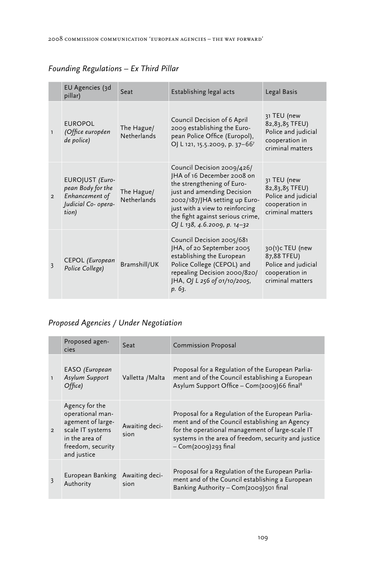|                | EU Agencies (3d<br>pillar)                                                             | Seat                             | Establishing legal acts                                                                                                                                                                                                                                      | Legal Basis                                                                                  |
|----------------|----------------------------------------------------------------------------------------|----------------------------------|--------------------------------------------------------------------------------------------------------------------------------------------------------------------------------------------------------------------------------------------------------------|----------------------------------------------------------------------------------------------|
| $\mathbf{1}$   | <b>EUROPOL</b><br>(Office européen<br>de police)                                       | The Hague/<br>Netherlands        | Council Decision of 6 April<br>2009 establishing the Euro-<br>pean Police Office (Europol),<br>OJ L 121, 15.5.2009, p. 37-667                                                                                                                                | 31 TEU (new<br>82, 83, 85 TFEU)<br>Police and judicial<br>cooperation in<br>criminal matters |
| $\overline{2}$ | EUROJUST (Euro-<br>pean Body for the<br>Enhancement of<br>Judicial Co- opera-<br>tion) | The Hague/<br><b>Netherlands</b> | Council Decision 2009/426/<br>JHA of 16 December 2008 on<br>the strengthening of Euro-<br>just and amending Decision<br>2002/187/JHA setting up Euro-<br>just with a view to reinforcing<br>the fight against serious crime,<br>OJ L 138, 4.6.2009, p. 14-32 | 31 TEU (new<br>82, 83, 85 TFEU)<br>Police and judicial<br>cooperation in<br>criminal matters |
| 3              | CEPOL (European<br>Police College)                                                     | Bramshill/UK                     | Council Decision 2005/681<br>JHA, of 20 September 2005<br>establishing the European<br>Police College (CEPOL) and<br>repealing Decision 2000/820/<br>JHA, OJ L 256 of 01/10/2005,<br>p. 63.                                                                  | 30(1)c TEU (new<br>87,88 TFEU)<br>Police and judicial<br>cooperation in<br>criminal matters  |

## *Founding Regulations – Ex Third Pillar*

## *Proposed Agencies / Under Negotiation*

|                | Proposed agen-<br>cies                                                                                                            | Seat                   | <b>Commission Proposal</b>                                                                                                                                                                                                                |
|----------------|-----------------------------------------------------------------------------------------------------------------------------------|------------------------|-------------------------------------------------------------------------------------------------------------------------------------------------------------------------------------------------------------------------------------------|
| $\mathbf{1}$   | EASO (European<br><b>Asylum Support</b><br>Office)                                                                                | Valletta / Malta       | Proposal for a Regulation of the European Parlia-<br>ment and of the Council establishing a European<br>Asylum Support Office - Com(2009)66 final <sup>8</sup>                                                                            |
| $\overline{2}$ | Agency for the<br>operational man-<br>agement of large-<br>scale IT systems<br>in the area of<br>freedom, security<br>and justice | Awaiting deci-<br>sion | Proposal for a Regulation of the European Parlia-<br>ment and of the Council establishing an Agency<br>for the operational management of large-scale IT<br>systems in the area of freedom, security and justice<br>$-$ Com(2009)293 final |
|                | European Banking<br>Authority                                                                                                     | Awaiting deci-<br>sion | Proposal for a Regulation of the European Parlia-<br>ment and of the Council establishing a European<br>Banking Authority - Com(2009)501 final                                                                                            |